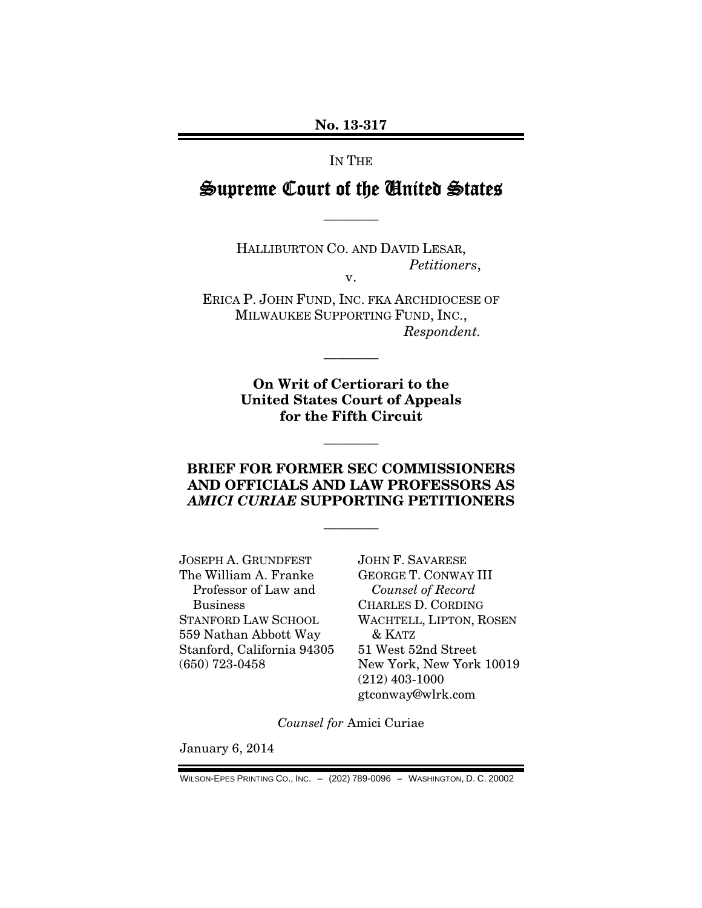#### No. 13-317

### IN THE

### Supreme Court of the United States

————

HALLIBURTON CO. AND DAVID LESAR, *Petitioners*, v.

ERICA P. JOHN FUND, INC. FKA ARCHDIOCESE OF MILWAUKEE SUPPORTING FUND, INC., *Respondent.* 

————

On Writ of Certiorari to the United States Court of Appeals for the Fifth Circuit

### BRIEF FOR FORMER SEC COMMISSIONERS AND OFFICIALS AND LAW PROFESSORS AS *AMICI CURIAE* SUPPORTING PETITIONERS

————

————

JOSEPH A. GRUNDFEST The William A. Franke Professor of Law and Business STANFORD LAW SCHOOL 559 Nathan Abbott Way Stanford, California 94305 (650) 723-0458

JOHN F. SAVARESE GEORGE T. CONWAY III *Counsel of Record*  CHARLES D. CORDING WACHTELL, LIPTON, ROSEN & KATZ 51 West 52nd Street New York, New York 10019 (212) 403-1000 gtconway@wlrk.com

*Counsel for* Amici Curiae

January 6, 2014

WILSON-EPES PRINTING CO., INC. – (202) 789-0096 – WASHINGTON, D. C. 20002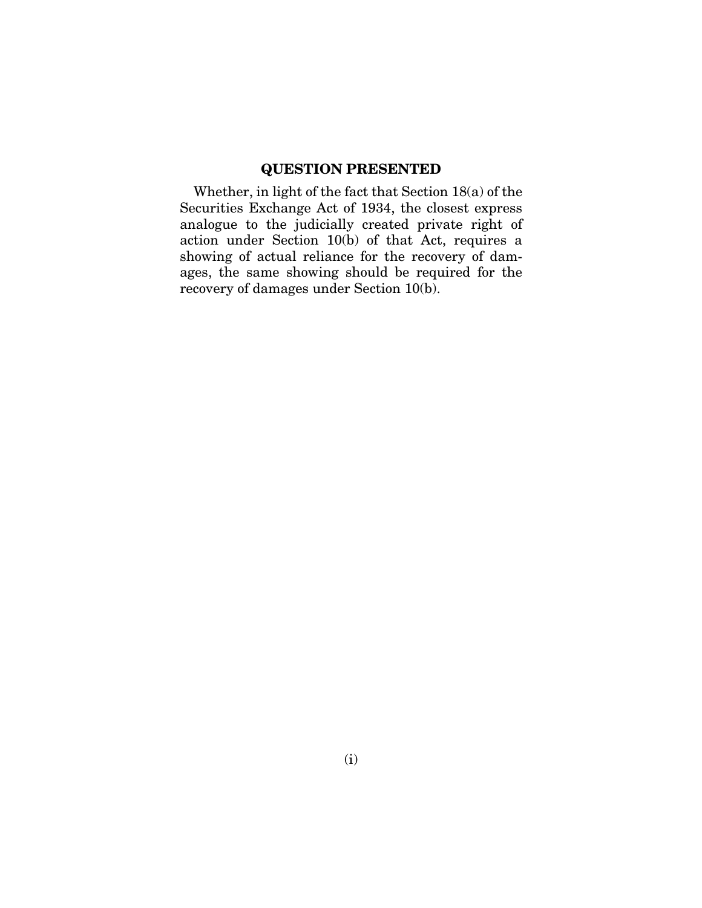### QUESTION PRESENTED

Whether, in light of the fact that Section 18(a) of the Securities Exchange Act of 1934, the closest express analogue to the judicially created private right of action under Section 10(b) of that Act, requires a showing of actual reliance for the recovery of damages, the same showing should be required for the recovery of damages under Section 10(b).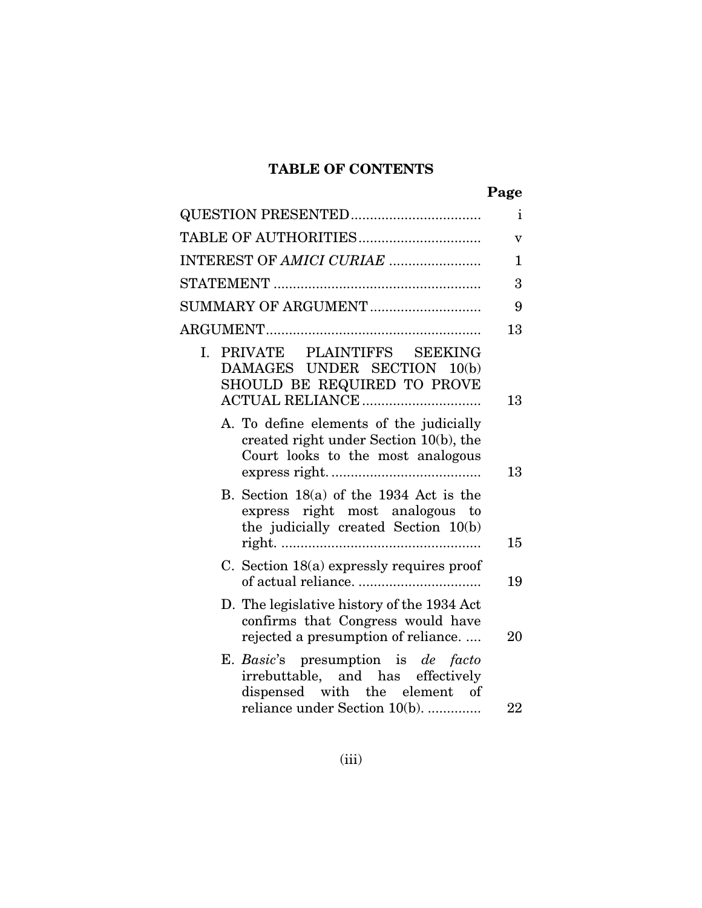### TABLE OF CONTENTS

| ×<br>×<br>۰.<br>۰, |
|--------------------|
|--------------------|

|                                                                                                                        | $\mathbf{i}$            |
|------------------------------------------------------------------------------------------------------------------------|-------------------------|
| TABLE OF AUTHORITIES                                                                                                   | $\overline{\mathbf{V}}$ |
| INTEREST OF AMICI CURIAE                                                                                               | 1                       |
|                                                                                                                        | 3                       |
|                                                                                                                        | 9                       |
|                                                                                                                        | 13                      |
| I. PRIVATE PLAINTIFFS SEEKING<br>DAMAGES UNDER SECTION 10(b)<br>SHOULD BE REQUIRED TO PROVE<br>ACTUAL RELIANCE         | 13                      |
| A. To define elements of the judicially<br>created right under Section 10(b), the<br>Court looks to the most analogous | 13                      |
| B. Section $18(a)$ of the 1934 Act is the<br>express right most analogous to<br>the judicially created Section 10(b)   | 15                      |
| C. Section 18(a) expressly requires proof                                                                              | 19                      |
| D. The legislative history of the 1934 Act<br>confirms that Congress would have<br>rejected a presumption of reliance  | 20                      |
| E. Basic's presumption is de facto<br>irrebuttable, and has effectively<br>dispensed with the element of               |                         |
| reliance under Section 10(b).                                                                                          | 22                      |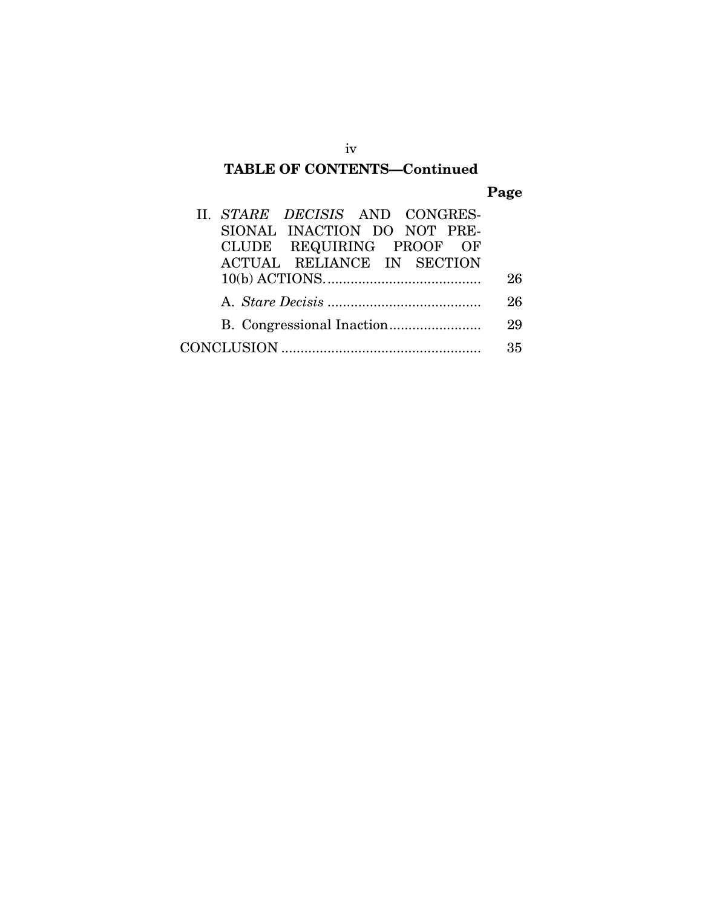### TABLE OF CONTENTS—Continued

### Page

| II. STARE DECISIS AND CONGRES-    |    |
|-----------------------------------|----|
| SIONAL INACTION DO NOT PRE-       |    |
| CLUDE REQUIRING PROOF OF          |    |
| <b>ACTUAL RELIANCE IN SECTION</b> |    |
|                                   | 26 |
|                                   | 26 |
|                                   | 29 |
|                                   | 35 |

iv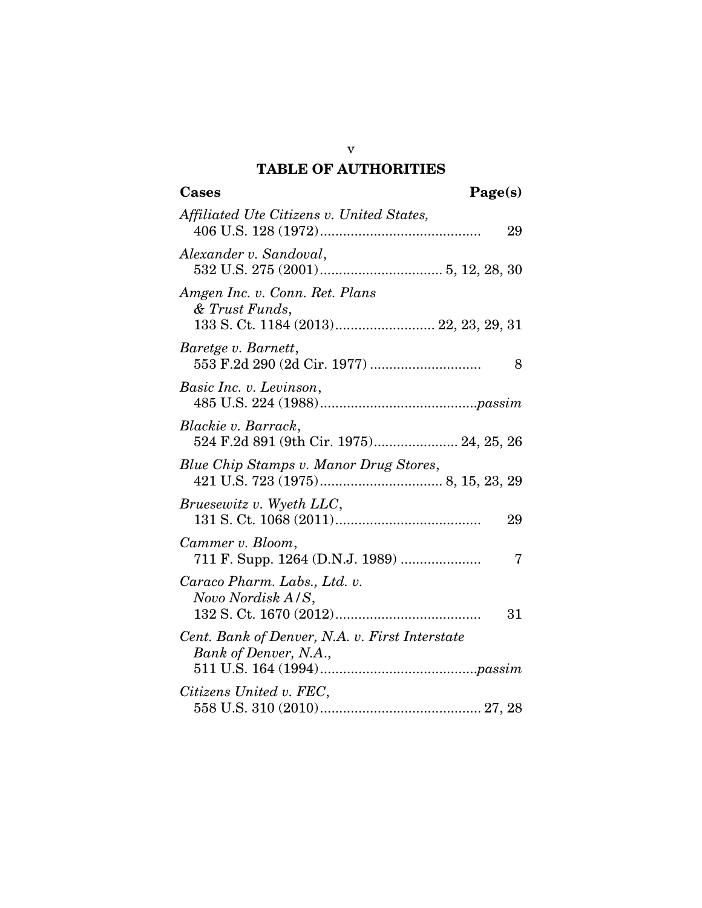### TABLE OF AUTHORITIES

| Cases<br>Page(s)                                                                          |
|-------------------------------------------------------------------------------------------|
| Affiliated Ute Citizens v. United States,<br>29                                           |
| Alexander v. Sandoval,                                                                    |
| Amgen Inc. v. Conn. Ret. Plans<br>& Trust Funds,<br>133 S. Ct. 1184 (2013) 22, 23, 29, 31 |
| Baretge v. Barnett,<br>8                                                                  |
| Basic Inc. v. Levinson,                                                                   |
| Blackie v. Barrack,<br>524 F.2d 891 (9th Cir. 1975) 24, 25, 26                            |
| Blue Chip Stamps v. Manor Drug Stores,                                                    |
| Bruesewitz v. Wyeth LLC,<br>29                                                            |
| Cammer v. Bloom,<br>7                                                                     |
| Caraco Pharm. Labs., Ltd. v.<br>Novo Nordisk A/S,<br>31                                   |
| Cent. Bank of Denver, N.A. v. First Interstate<br>Bank of Denver, N.A.,                   |
| Citizens United v. FEC,                                                                   |

v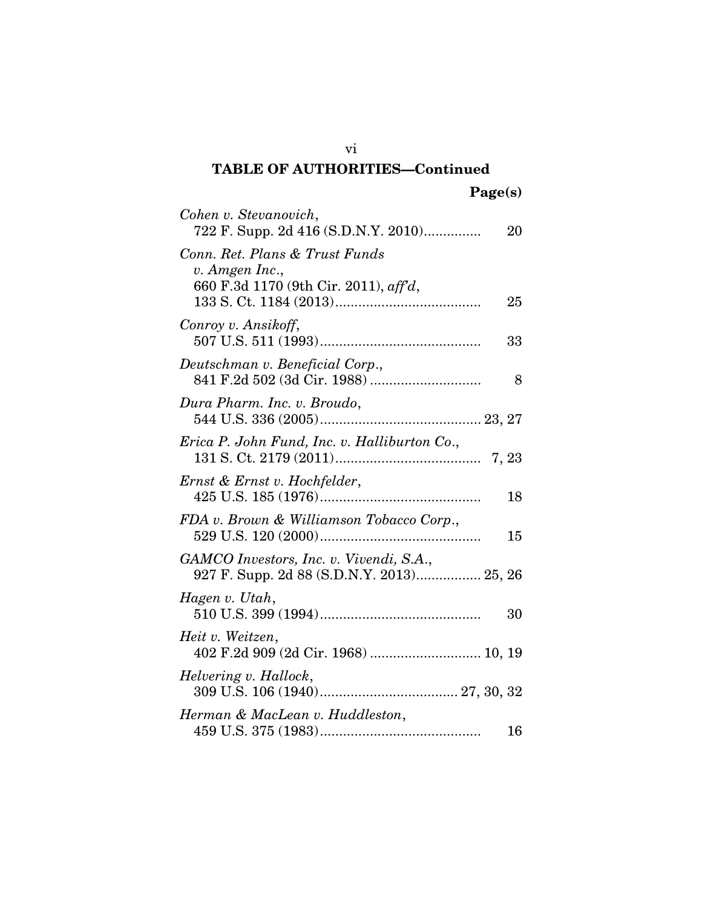| Cohen v. Stevanovich,<br>722 F. Supp. 2d 416 (S.D.N.Y. 2010)                              | 20 |
|-------------------------------------------------------------------------------------------|----|
| Conn. Ret. Plans & Trust Funds<br>v. Amgen Inc.,<br>660 F.3d 1170 (9th Cir. 2011), aff'd, | 25 |
| Conroy v. Ansikoff,                                                                       | 33 |
| Deutschman v. Beneficial Corp.,                                                           | 8  |
| Dura Pharm. Inc. v. Broudo,                                                               |    |
| Erica P. John Fund, Inc. v. Halliburton Co.,                                              |    |
| Ernst & Ernst v. Hochfelder,                                                              | 18 |
| FDA v. Brown & Williamson Tobacco Corp.,                                                  | 15 |
| GAMCO Investors, Inc. v. Vivendi, S.A.,<br>927 F. Supp. 2d 88 (S.D.N.Y. 2013) 25, 26      |    |
| Hagen v. Utah,                                                                            | 30 |
| Heit v. Weitzen,<br>402 F.2d 909 (2d Cir. 1968)  10, 19                                   |    |
| Helvering v. Hallock,                                                                     |    |
| Herman & MacLean v. Huddleston,<br>$459$ U.S. $375\,(1983)$                               | 16 |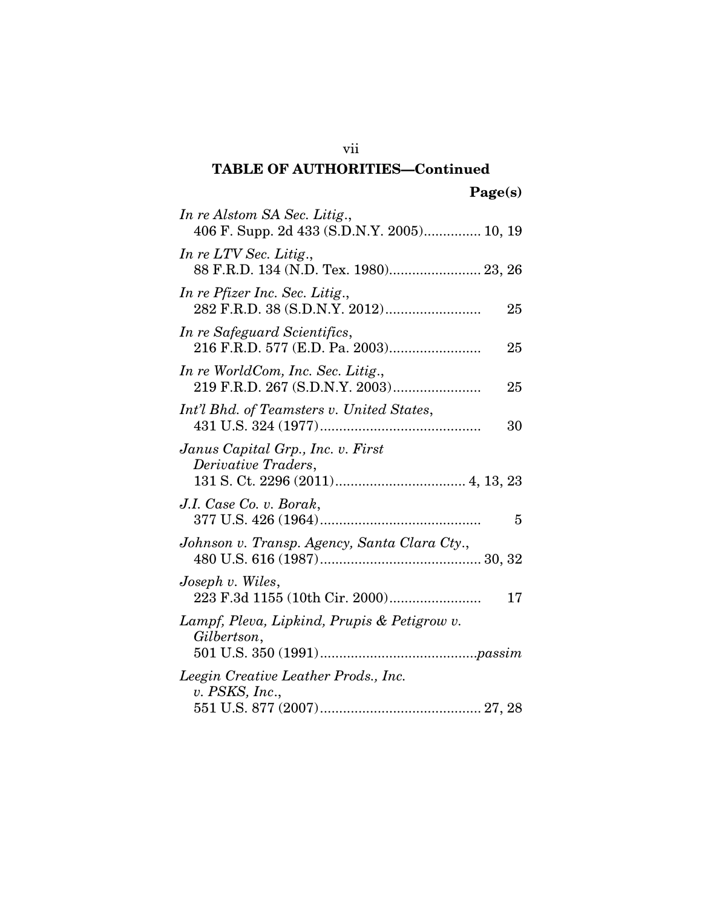| In re Alstom SA Sec. Litig.,<br>406 F. Supp. 2d 433 (S.D.N.Y. 2005) 10, 19 |
|----------------------------------------------------------------------------|
| In re LTV Sec. Litig.,<br>88 F.R.D. 134 (N.D. Tex. 1980) 23, 26            |
| In re Pfizer Inc. Sec. Litig.,<br>25                                       |
| In re Safeguard Scientifics,<br>25                                         |
| In re WorldCom, Inc. Sec. Litig.,<br>219 F.R.D. 267 (S.D.N.Y. 2003)<br>25  |
| Int'l Bhd. of Teamsters v. United States,<br>30                            |
| Janus Capital Grp., Inc. v. First<br><i>Derivative Traders,</i>            |
| J.I. Case Co. v. Borak,<br>5                                               |
| Johnson v. Transp. Agency, Santa Clara Cty.,                               |
| Joseph v. Wiles,<br>17                                                     |
| Lampf, Pleva, Lipkind, Prupis & Petigrow v.<br>Gilbertson,                 |
| Leegin Creative Leather Prods., Inc.<br>v. PSKS, Inc.,                     |

vii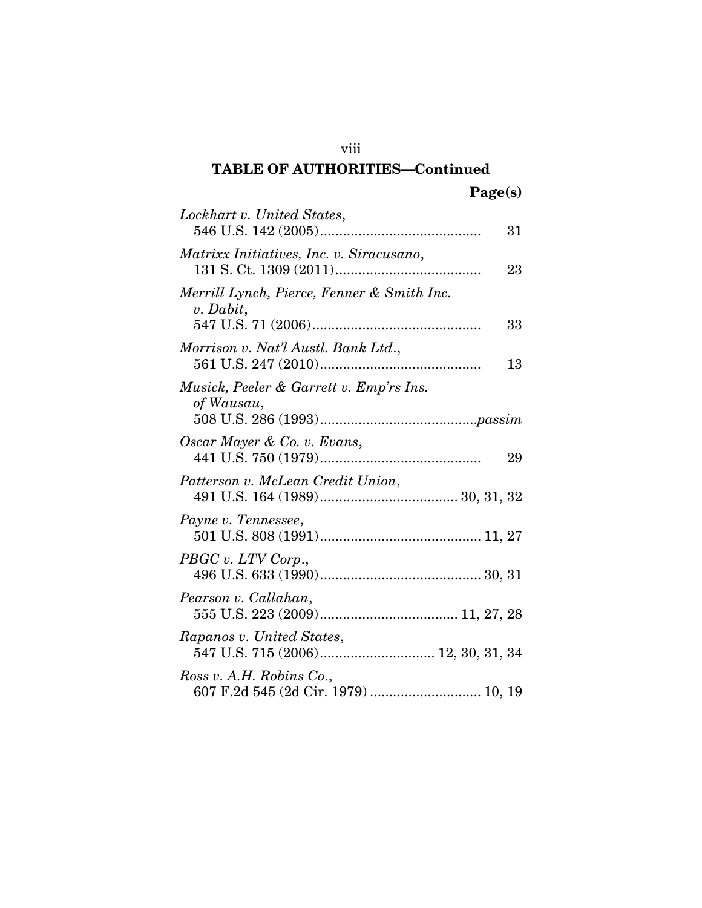| Lockhart v. United States,<br>31                                |
|-----------------------------------------------------------------|
| Matrixx Initiatives, Inc. v. Siracusano,<br>23                  |
| Merrill Lynch, Pierce, Fenner & Smith Inc.<br>v. Dabit,<br>33   |
| Morrison v. Nat'l Austl. Bank Ltd.,                             |
| 13                                                              |
| Musick, Peeler & Garrett v. Emp'rs Ins.<br>of Wausau,           |
| Oscar Mayer & Co. v. Evans,<br>29                               |
| Patterson v. McLean Credit Union,                               |
| Payne v. Tennessee,                                             |
| PBGC v. LTV Corp.,                                              |
| Pearson v. Callahan,                                            |
| Rapanos v. United States,<br>547 U.S. 715 (2006) 12, 30, 31, 34 |
| Ross v. A.H. Robins Co.,<br>607 F.2d 545 (2d Cir. 1979)  10, 19 |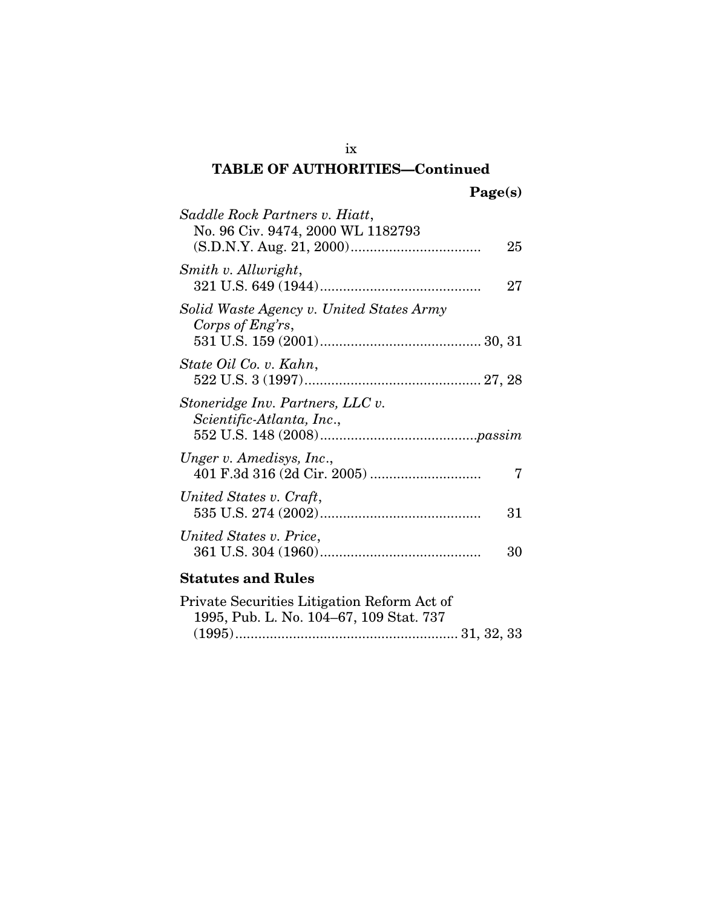| Saddle Rock Partners v. Hiatt,<br>No. 96 Civ. 9474, 2000 WL 1182793 | 25 |
|---------------------------------------------------------------------|----|
| Smith v. Allwright,                                                 | 27 |
| Solid Waste Agency v. United States Army<br>Corps of Eng'rs,        |    |
| State Oil Co. v. Kahn,                                              |    |
| Stoneridge Inv. Partners, LLC v.<br>Scientific-Atlanta, Inc.,       |    |
| Unger v. Amedisys, Inc.,                                            |    |
| United States v. Craft,                                             | 31 |
| United States v. Price,                                             | 30 |
| <b>Statutes and Rules</b>                                           |    |

| Private Securities Litigation Reform Act of |  |
|---------------------------------------------|--|
| 1995, Pub. L. No. 104–67, 109 Stat. 737     |  |
|                                             |  |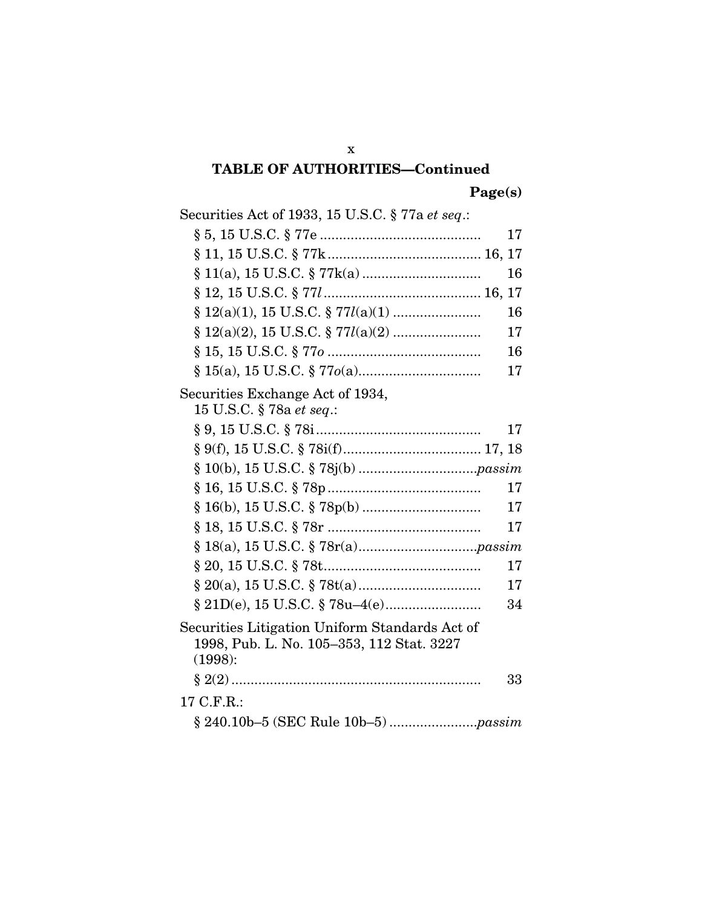Page(s)

| Securities Act of 1933, 15 U.S.C. § 77a et seq.:                                                       |          |
|--------------------------------------------------------------------------------------------------------|----------|
|                                                                                                        | 17       |
|                                                                                                        |          |
|                                                                                                        | 16       |
|                                                                                                        |          |
|                                                                                                        | 16       |
|                                                                                                        | 17       |
|                                                                                                        | 16       |
|                                                                                                        | 17       |
| Securities Exchange Act of 1934,<br>15 U.S.C. § 78a et seq.:                                           |          |
|                                                                                                        | 17       |
|                                                                                                        |          |
|                                                                                                        |          |
| § 10(b), 15 U.S.C. § 78j(b)                                                                            |          |
|                                                                                                        | 17<br>17 |
| § 16(b), 15 U.S.C. § 78p(b)                                                                            |          |
|                                                                                                        | 17       |
|                                                                                                        |          |
|                                                                                                        | 17       |
|                                                                                                        | 17       |
|                                                                                                        | 34       |
| Securities Litigation Uniform Standards Act of<br>1998, Pub. L. No. 105-353, 112 Stat. 3227<br>(1998): |          |
|                                                                                                        | 33       |
| 17 C.F.R.:                                                                                             |          |
|                                                                                                        |          |

x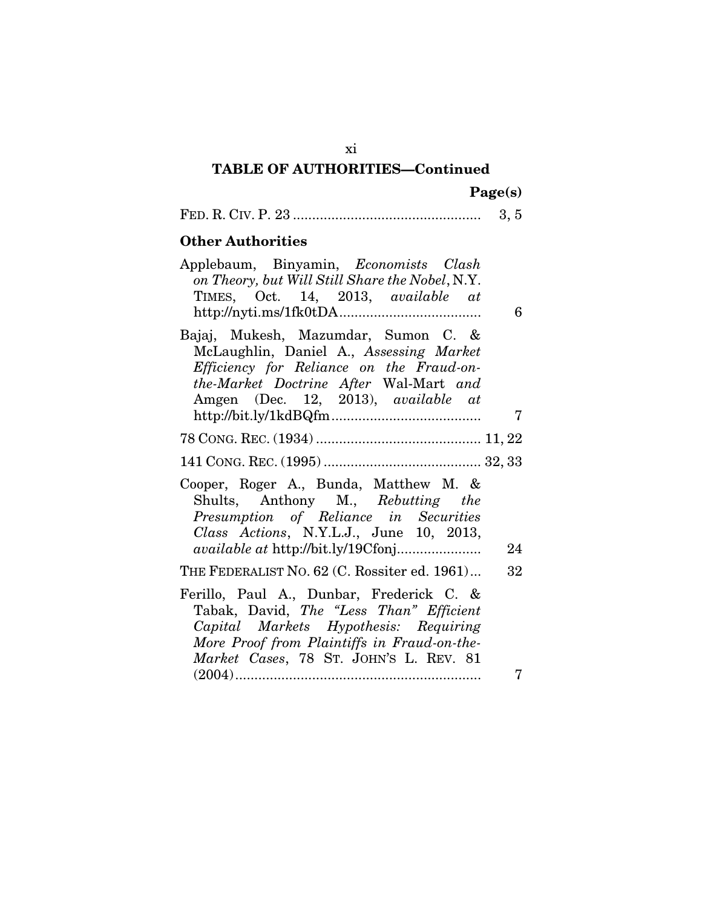|  |  |  | 0. O |  |
|--|--|--|------|--|
|--|--|--|------|--|

### Other Authorities

| 6  | Applebaum, Binyamin, <i>Economists Clash</i><br>on Theory, but Will Still Share the Nobel, N.Y.<br>TIMES, Oct. 14, 2013, available at                                                                                 |
|----|-----------------------------------------------------------------------------------------------------------------------------------------------------------------------------------------------------------------------|
|    | Bajaj, Mukesh, Mazumdar, Sumon C. &<br>McLaughlin, Daniel A., Assessing Market<br>Efficiency for Reliance on the Fraud-on-<br>the-Market Doctrine After Wal-Mart and<br>Amgen (Dec. 12, 2013), available at           |
| 7  | $http://bit.ly/1kdBQfm$                                                                                                                                                                                               |
|    |                                                                                                                                                                                                                       |
|    |                                                                                                                                                                                                                       |
| 24 | Cooper, Roger A., Bunda, Matthew M. &<br>Shults, Anthony M., Rebutting the<br>Presumption of Reliance in Securities<br>Class Actions, N.Y.L.J., June 10, 2013,<br><i>available at http://bit.ly/19Cfonj</i>           |
| 32 | THE FEDERALIST NO. 62 (C. Rossiter ed. 1961)                                                                                                                                                                          |
|    | Ferillo, Paul A., Dunbar, Frederick C. &<br>Tabak, David, The "Less Than" Efficient<br>Capital Markets Hypothesis: Requiring<br>More Proof from Plaintiffs in Fraud-on-the-<br>Market Cases, 78 ST. JOHN'S L. REV. 81 |
| 7  |                                                                                                                                                                                                                       |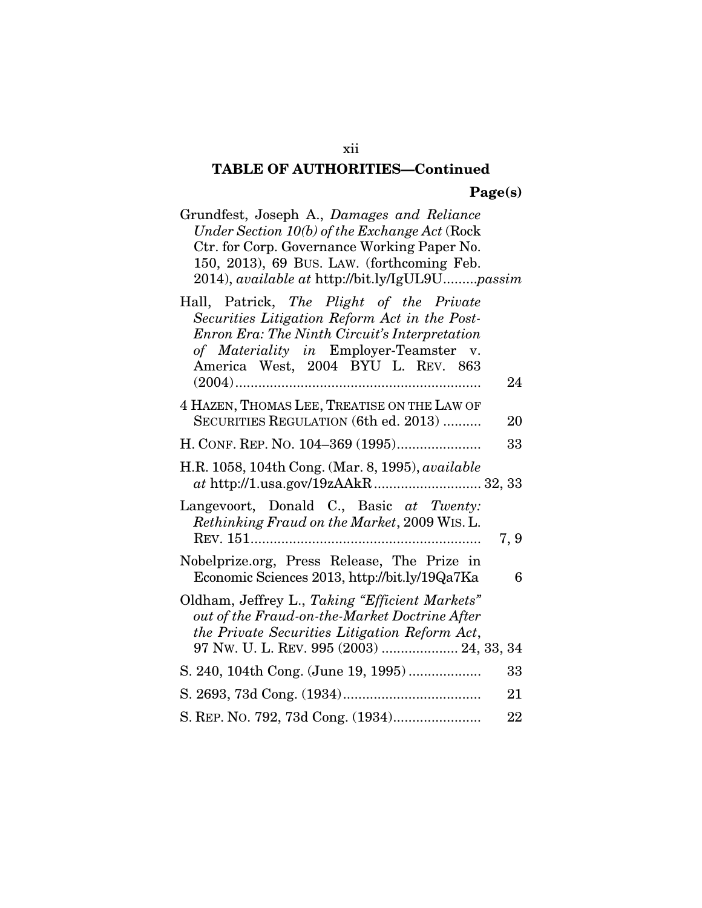|  | Page(s) |
|--|---------|
|  |         |

| Grundfest, Joseph A., Damages and Reliance<br>Under Section $10(b)$ of the Exchange Act (Rock<br>Ctr. for Corp. Governance Working Paper No.<br>150, 2013), 69 BUS. LAW. (forthcoming Feb.<br>2014), available at http://bit.ly/IgUL9Upassim |      |
|----------------------------------------------------------------------------------------------------------------------------------------------------------------------------------------------------------------------------------------------|------|
| Hall, Patrick, The Plight of the Private<br>Securities Litigation Reform Act in the Post-<br>Enron Era: The Ninth Circuit's Interpretation<br>of Materiality in Employer-Teamster v.<br>America West, 2004 BYU L. REV. 863                   | 24   |
| 4 HAZEN, THOMAS LEE, TREATISE ON THE LAW OF<br>SECURITIES REGULATION (6th ed. 2013)                                                                                                                                                          | 20   |
|                                                                                                                                                                                                                                              | 33   |
| H.R. 1058, 104th Cong. (Mar. 8, 1995), <i>available</i>                                                                                                                                                                                      |      |
| Langevoort, Donald C., Basic at Twenty:<br>Rethinking Fraud on the Market, 2009 WIS. L.                                                                                                                                                      | 7, 9 |
| Nobelprize.org, Press Release, The Prize in<br>Economic Sciences 2013, http://bit.ly/19Qa7Ka                                                                                                                                                 | 6    |
| Oldham, Jeffrey L., Taking "Efficient Markets"<br>out of the Fraud-on-the-Market Doctrine After<br>the Private Securities Litigation Reform Act,<br>97 Nw. U. L. REV. 995 (2003)  24, 33, 34                                                 |      |
|                                                                                                                                                                                                                                              | 33   |
|                                                                                                                                                                                                                                              | 21   |
|                                                                                                                                                                                                                                              | 22   |

xii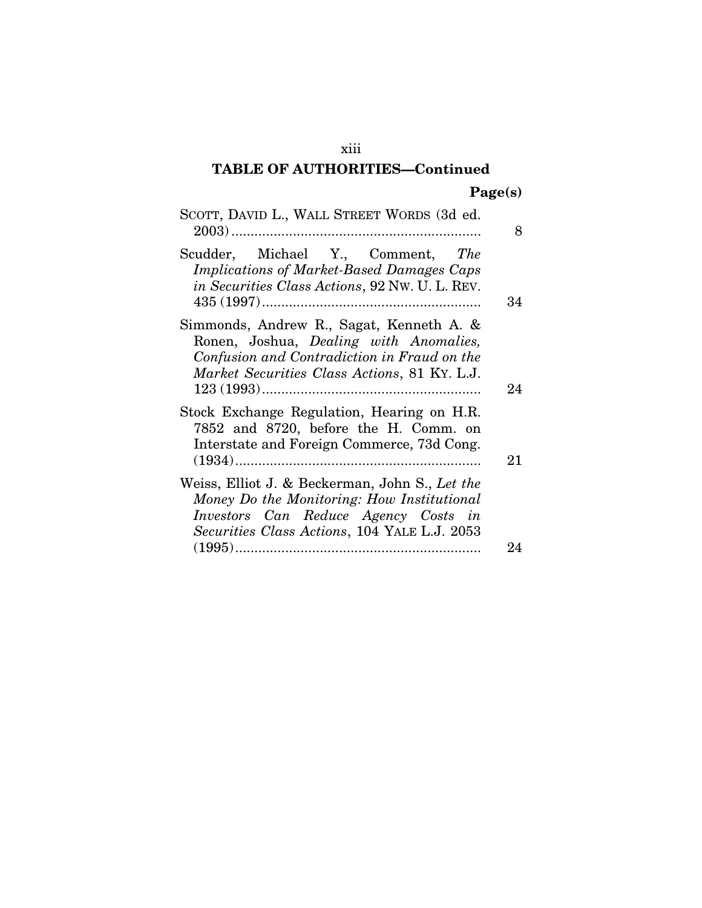| SCOTT, DAVID L., WALL STREET WORDS (3d ed.                                                                                                                                           | 8  |
|--------------------------------------------------------------------------------------------------------------------------------------------------------------------------------------|----|
| Scudder, Michael Y., Comment, The<br><b>Implications of Market-Based Damages Caps</b><br><i>in Securities Class Actions, 92 Nw. U. L. REV.</i>                                       | 34 |
| Simmonds, Andrew R., Sagat, Kenneth A. &<br>Ronen, Joshua, Dealing with Anomalies,<br>Confusion and Contradiction in Fraud on the<br>Market Securities Class Actions, 81 KY. L.J.    | 24 |
| Stock Exchange Regulation, Hearing on H.R.<br>7852 and 8720, before the H. Comm. on<br>Interstate and Foreign Commerce, 73d Cong.                                                    | 21 |
| Weiss, Elliot J. & Beckerman, John S., Let the<br>Money Do the Monitoring: How Institutional<br>Investors Can Reduce Agency Costs in<br>Securities Class Actions, 104 YALE L.J. 2053 |    |
|                                                                                                                                                                                      | 94 |

xiii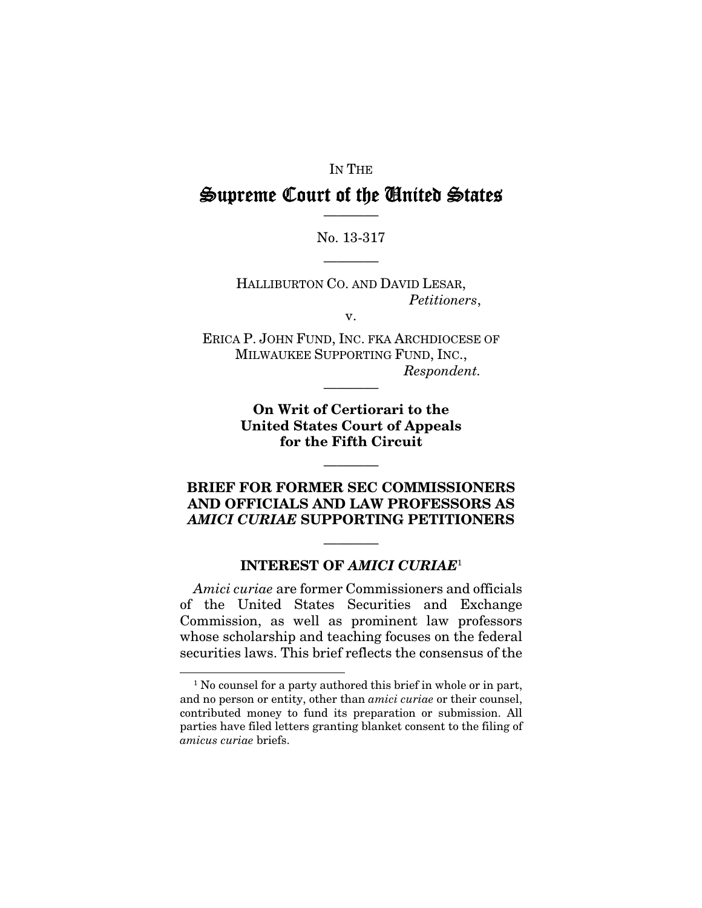#### IN THE

### Supreme Court of the United States ————

#### No. 13-317

————

HALLIBURTON CO. AND DAVID LESAR, *Petitioners*,

v.

ERICA P. JOHN FUND, INC. FKA ARCHDIOCESE OF MILWAUKEE SUPPORTING FUND, INC., *Respondent.* 

————

On Writ of Certiorari to the United States Court of Appeals for the Fifth Circuit

### BRIEF FOR FORMER SEC COMMISSIONERS AND OFFICIALS AND LAW PROFESSORS AS *AMICI CURIAE* SUPPORTING PETITIONERS

————

### INTEREST OF *AMICI CURIAE*<sup>1</sup>

————

*Amici curiae* are former Commissioners and officials of the United States Securities and Exchange Commission, as well as prominent law professors whose scholarship and teaching focuses on the federal securities laws. This brief reflects the consensus of the

1

<sup>&</sup>lt;sup>1</sup> No counsel for a party authored this brief in whole or in part, and no person or entity, other than *amici curiae* or their counsel, contributed money to fund its preparation or submission. All parties have filed letters granting blanket consent to the filing of *amicus curiae* briefs.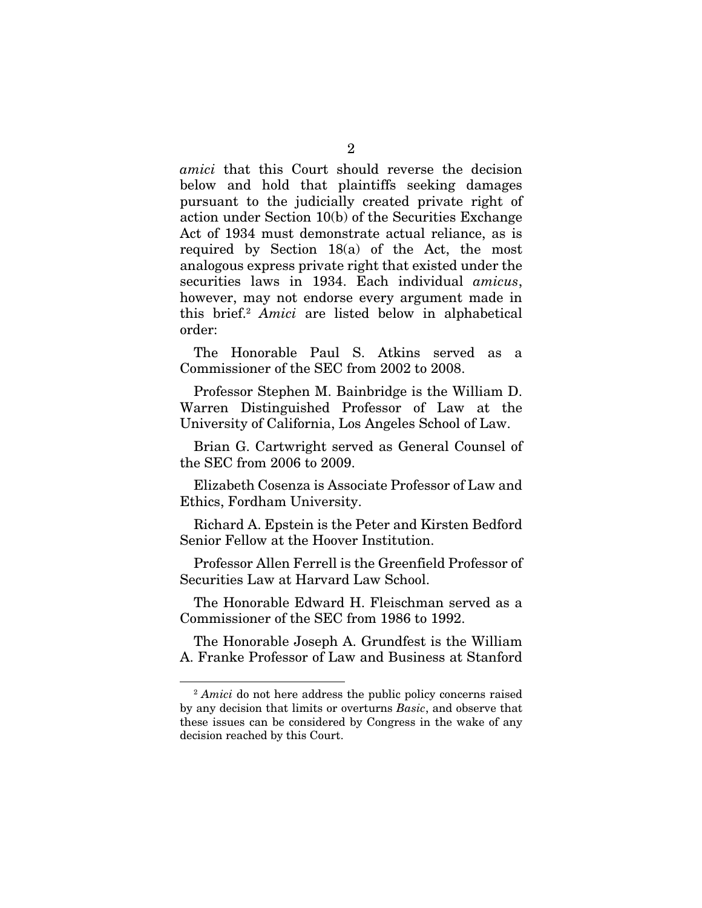*amici* that this Court should reverse the decision below and hold that plaintiffs seeking damages pursuant to the judicially created private right of action under Section 10(b) of the Securities Exchange Act of 1934 must demonstrate actual reliance, as is required by Section 18(a) of the Act, the most analogous express private right that existed under the securities laws in 1934. Each individual *amicus*, however, may not endorse every argument made in this brief.2 *Amici* are listed below in alphabetical order:

The Honorable Paul S. Atkins served as a Commissioner of the SEC from 2002 to 2008.

Professor Stephen M. Bainbridge is the William D. Warren Distinguished Professor of Law at the University of California, Los Angeles School of Law.

Brian G. Cartwright served as General Counsel of the SEC from 2006 to 2009.

Elizabeth Cosenza is Associate Professor of Law and Ethics, Fordham University.

Richard A. Epstein is the Peter and Kirsten Bedford Senior Fellow at the Hoover Institution.

Professor Allen Ferrell is the Greenfield Professor of Securities Law at Harvard Law School.

The Honorable Edward H. Fleischman served as a Commissioner of the SEC from 1986 to 1992.

The Honorable Joseph A. Grundfest is the William A. Franke Professor of Law and Business at Stanford

<sup>2</sup> *Amici* do not here address the public policy concerns raised by any decision that limits or overturns *Basic*, and observe that these issues can be considered by Congress in the wake of any decision reached by this Court.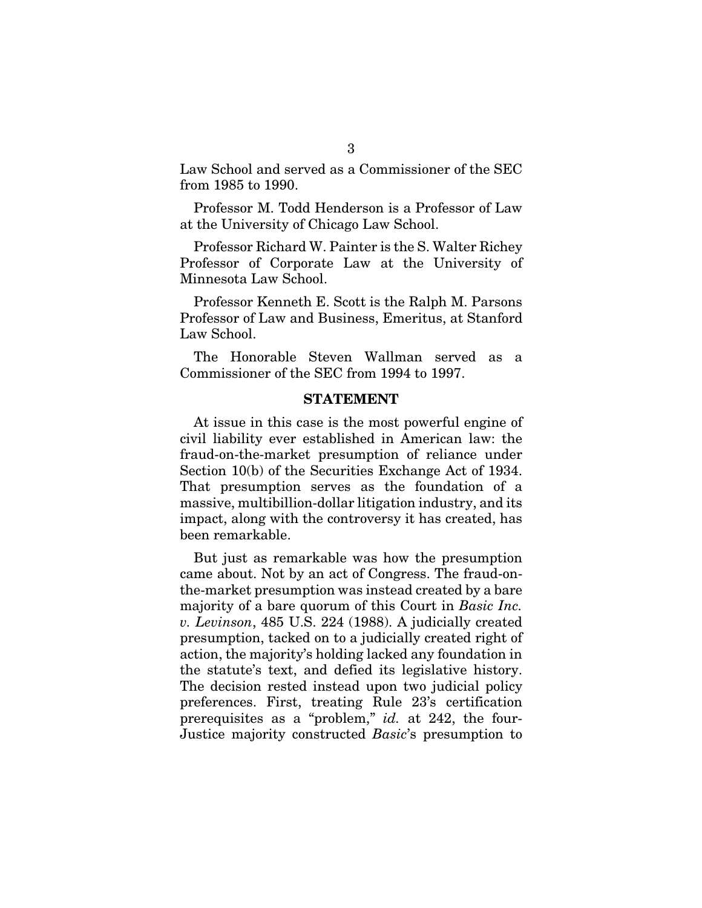Law School and served as a Commissioner of the SEC from 1985 to 1990.

Professor M. Todd Henderson is a Professor of Law at the University of Chicago Law School.

Professor Richard W. Painter is the S. Walter Richey Professor of Corporate Law at the University of Minnesota Law School.

Professor Kenneth E. Scott is the Ralph M. Parsons Professor of Law and Business, Emeritus, at Stanford Law School.

The Honorable Steven Wallman served as a Commissioner of the SEC from 1994 to 1997.

#### **STATEMENT**

At issue in this case is the most powerful engine of civil liability ever established in American law: the fraud-on-the-market presumption of reliance under Section 10(b) of the Securities Exchange Act of 1934. That presumption serves as the foundation of a massive, multibillion-dollar litigation industry, and its impact, along with the controversy it has created, has been remarkable.

But just as remarkable was how the presumption came about. Not by an act of Congress. The fraud-onthe-market presumption was instead created by a bare majority of a bare quorum of this Court in *Basic Inc. v. Levinson*, 485 U.S. 224 (1988). A judicially created presumption, tacked on to a judicially created right of action, the majority's holding lacked any foundation in the statute's text, and defied its legislative history. The decision rested instead upon two judicial policy preferences. First, treating Rule 23's certification prerequisites as a "problem," *id.* at 242, the four-Justice majority constructed *Basic*'s presumption to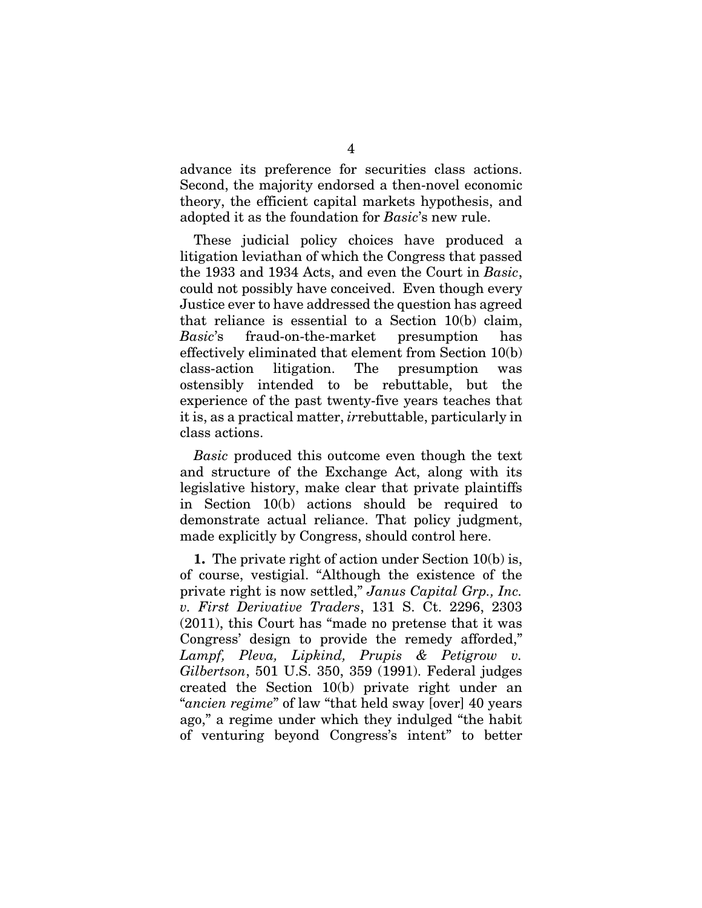advance its preference for securities class actions. Second, the majority endorsed a then-novel economic theory, the efficient capital markets hypothesis, and adopted it as the foundation for *Basic*'s new rule.

These judicial policy choices have produced a litigation leviathan of which the Congress that passed the 1933 and 1934 Acts, and even the Court in *Basic*, could not possibly have conceived. Even though every Justice ever to have addressed the question has agreed that reliance is essential to a Section 10(b) claim, *Basic*'s fraud-on-the-market presumption has effectively eliminated that element from Section 10(b) class-action litigation. The presumption was ostensibly intended to be rebuttable, but the experience of the past twenty-five years teaches that it is, as a practical matter, *ir*rebuttable, particularly in class actions.

*Basic* produced this outcome even though the text and structure of the Exchange Act, along with its legislative history, make clear that private plaintiffs in Section 10(b) actions should be required to demonstrate actual reliance. That policy judgment, made explicitly by Congress, should control here.

1. The private right of action under Section 10(b) is, of course, vestigial. "Although the existence of the private right is now settled," *Janus Capital Grp., Inc. v. First Derivative Traders*, 131 S. Ct. 2296, 2303 (2011), this Court has "made no pretense that it was Congress' design to provide the remedy afforded," *Lampf, Pleva, Lipkind, Prupis & Petigrow v. Gilbertson*, 501 U.S. 350, 359 (1991). Federal judges created the Section 10(b) private right under an "*ancien regime*" of law "that held sway [over] 40 years ago," a regime under which they indulged "the habit of venturing beyond Congress's intent" to better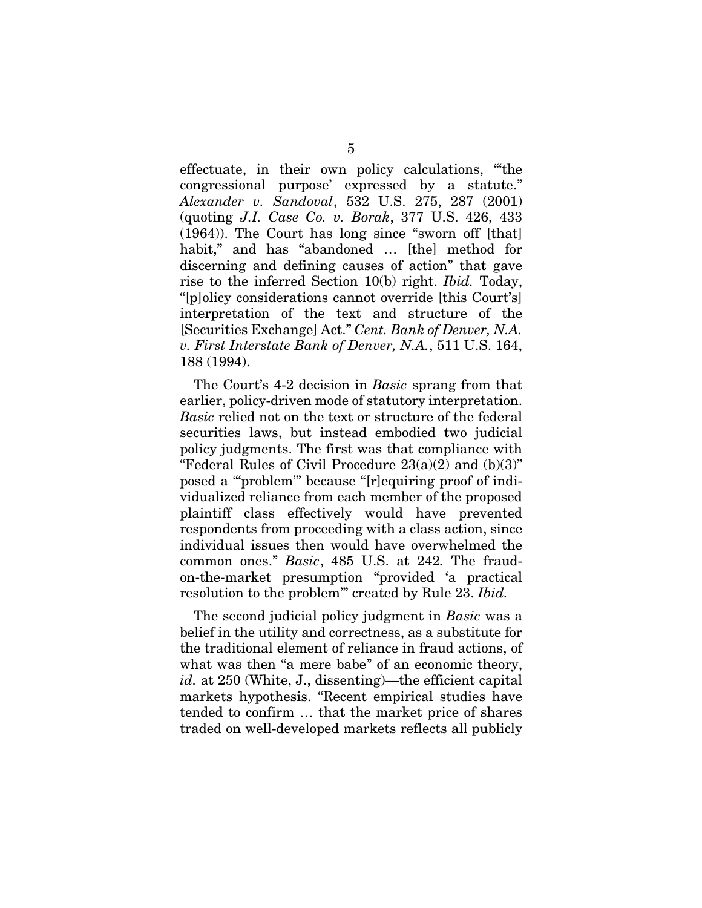effectuate, in their own policy calculations, "'the congressional purpose' expressed by a statute." *Alexander v. Sandoval*, 532 U.S. 275, 287 (2001) (quoting *J.I. Case Co. v. Borak*, 377 U.S. 426, 433 (1964)). The Court has long since "sworn off [that] habit," and has "abandoned … [the] method for discerning and defining causes of action" that gave rise to the inferred Section 10(b) right. *Ibid.* Today, "[p]olicy considerations cannot override [this Court's] interpretation of the text and structure of the [Securities Exchange] Act." *Cent. Bank of Denver, N.A. v. First Interstate Bank of Denver, N.A.*, 511 U.S. 164, 188 (1994).

The Court's 4-2 decision in *Basic* sprang from that earlier, policy-driven mode of statutory interpretation. *Basic* relied not on the text or structure of the federal securities laws, but instead embodied two judicial policy judgments. The first was that compliance with "Federal Rules of Civil Procedure  $23(a)(2)$  and  $(b)(3)$ " posed a "'problem'" because "[r]equiring proof of individualized reliance from each member of the proposed plaintiff class effectively would have prevented respondents from proceeding with a class action, since individual issues then would have overwhelmed the common ones." *Basic*, 485 U.S. at 242*.* The fraudon-the-market presumption "provided 'a practical resolution to the problem'" created by Rule 23. *Ibid.*

The second judicial policy judgment in *Basic* was a belief in the utility and correctness, as a substitute for the traditional element of reliance in fraud actions, of what was then "a mere babe" of an economic theory, *id.* at 250 (White, J., dissenting)—the efficient capital markets hypothesis. "Recent empirical studies have tended to confirm … that the market price of shares traded on well-developed markets reflects all publicly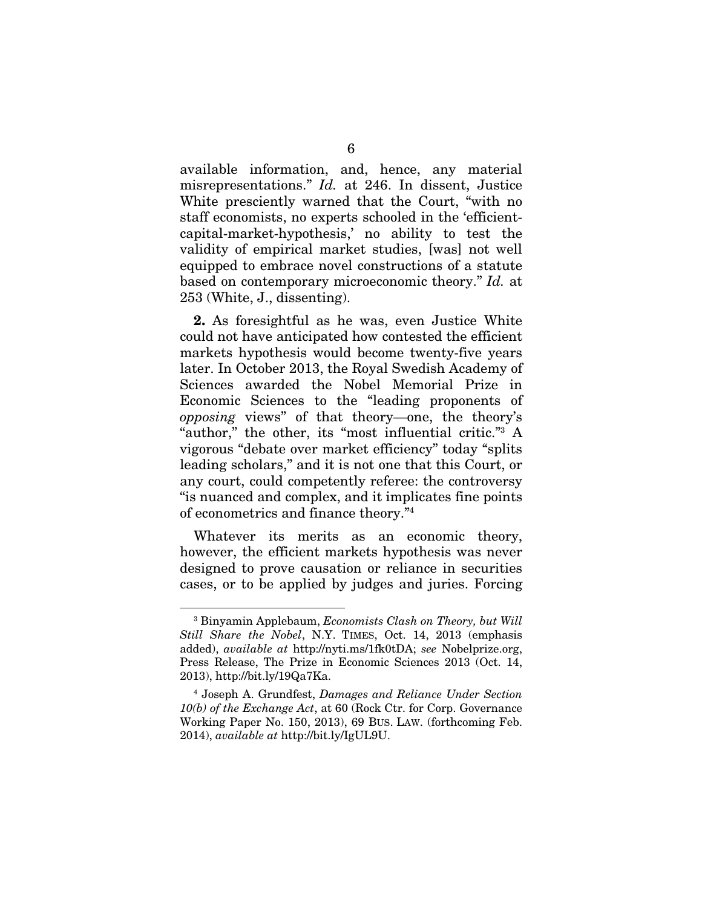available information, and, hence, any material misrepresentations." *Id.* at 246. In dissent, Justice White presciently warned that the Court, "with no staff economists, no experts schooled in the 'efficientcapital-market-hypothesis,' no ability to test the validity of empirical market studies, [was] not well equipped to embrace novel constructions of a statute based on contemporary microeconomic theory." *Id.* at 253 (White, J., dissenting).

2. As foresightful as he was, even Justice White could not have anticipated how contested the efficient markets hypothesis would become twenty-five years later. In October 2013, the Royal Swedish Academy of Sciences awarded the Nobel Memorial Prize in Economic Sciences to the "leading proponents of *opposing* views" of that theory—one, the theory's "author," the other, its "most influential critic."3 A vigorous "debate over market efficiency" today "splits leading scholars," and it is not one that this Court, or any court, could competently referee: the controversy "is nuanced and complex, and it implicates fine points of econometrics and finance theory."4

Whatever its merits as an economic theory, however, the efficient markets hypothesis was never designed to prove causation or reliance in securities cases, or to be applied by judges and juries. Forcing

-

<sup>3</sup> Binyamin Applebaum, *Economists Clash on Theory, but Will Still Share the Nobel*, N.Y. TIMES, Oct. 14, 2013 (emphasis added), *available at* http://nyti.ms/1fk0tDA; *see* Nobelprize.org, Press Release, The Prize in Economic Sciences 2013 (Oct. 14, 2013), http://bit.ly/19Qa7Ka.

<sup>4</sup> Joseph A. Grundfest, *Damages and Reliance Under Section 10(b) of the Exchange Act*, at 60 (Rock Ctr. for Corp. Governance Working Paper No. 150, 2013), 69 BUS. LAW. (forthcoming Feb. 2014), *available at* http://bit.ly/IgUL9U.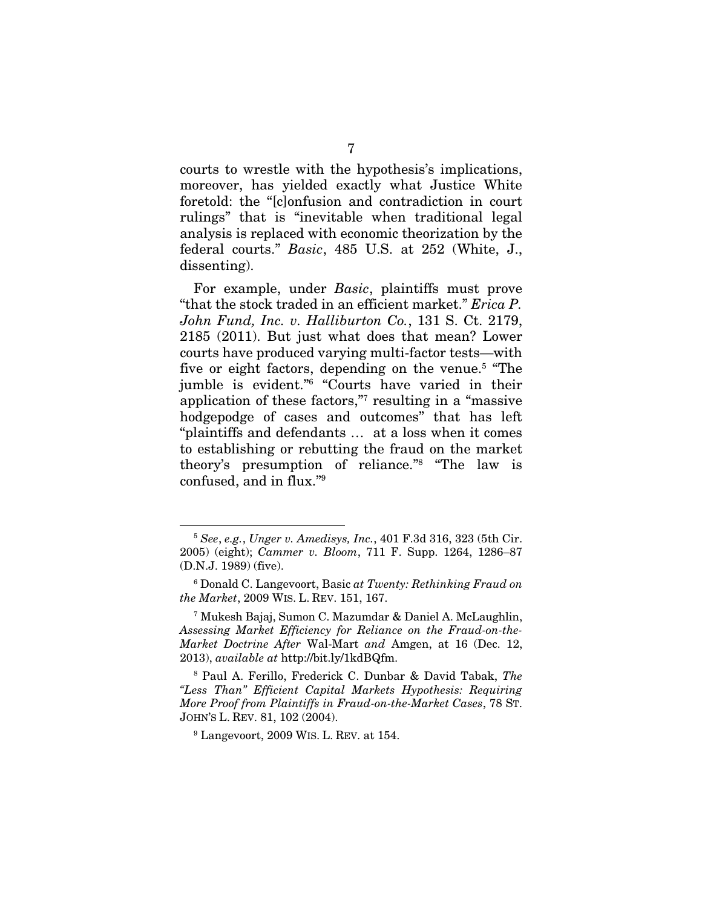courts to wrestle with the hypothesis's implications, moreover, has yielded exactly what Justice White foretold: the "[c]onfusion and contradiction in court rulings" that is "inevitable when traditional legal analysis is replaced with economic theorization by the federal courts." *Basic*, 485 U.S. at 252 (White, J., dissenting).

For example, under *Basic*, plaintiffs must prove "that the stock traded in an efficient market." *Erica P. John Fund, Inc. v. Halliburton Co.*, 131 S. Ct. 2179, 2185 (2011). But just what does that mean? Lower courts have produced varying multi-factor tests—with five or eight factors, depending on the venue.<sup>5</sup> "The jumble is evident."<sup>6</sup> "Courts have varied in their application of these factors,"7 resulting in a "massive hodgepodge of cases and outcomes" that has left "plaintiffs and defendants … at a loss when it comes to establishing or rebutting the fraud on the market theory's presumption of reliance."8 "The law is confused, and in flux."9

-

<sup>5</sup> *See*, *e.g.*, *Unger v. Amedisys, Inc.*, 401 F.3d 316, 323 (5th Cir. 2005) (eight); *Cammer v. Bloom*, 711 F. Supp. 1264, 1286–87 (D.N.J. 1989) (five).

<sup>6</sup> Donald C. Langevoort, Basic *at Twenty: Rethinking Fraud on the Market*, 2009 WIS. L. REV. 151, 167.

<sup>7</sup> Mukesh Bajaj, Sumon C. Mazumdar & Daniel A. McLaughlin, *Assessing Market Efficiency for Reliance on the Fraud-on-the-Market Doctrine After* Wal-Mart *and* Amgen, at 16 (Dec. 12, 2013), *available at* http://bit.ly/1kdBQfm.

<sup>8</sup> Paul A. Ferillo, Frederick C. Dunbar & David Tabak, *The "Less Than" Efficient Capital Markets Hypothesis: Requiring More Proof from Plaintiffs in Fraud-on-the-Market Cases*, 78 ST. JOHN'S L. REV. 81, 102 (2004).

<sup>9</sup> Langevoort, 2009 WIS. L. REV. at 154.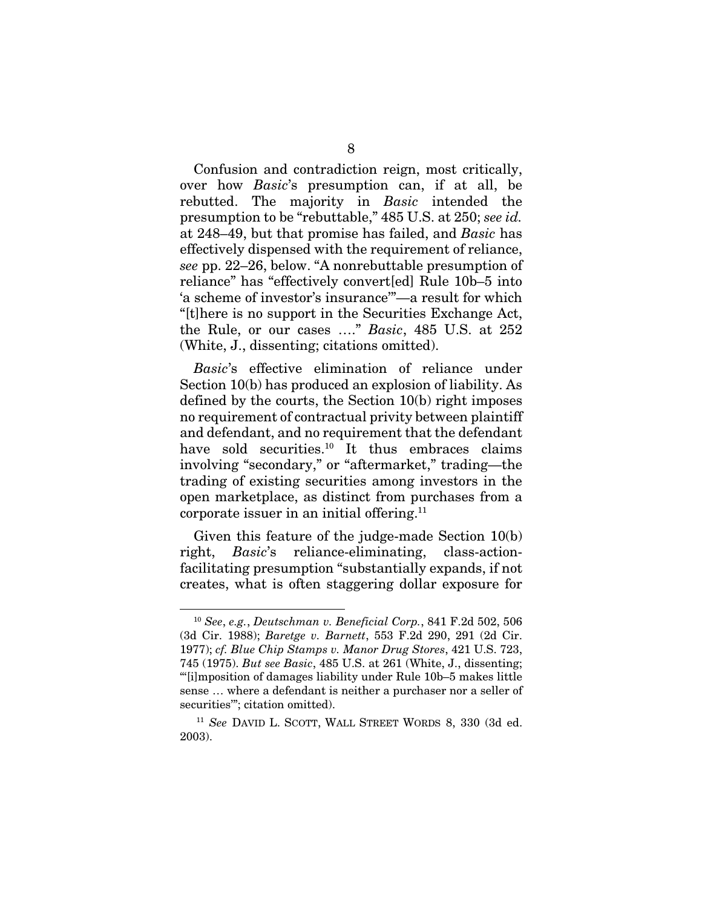Confusion and contradiction reign, most critically, over how *Basic*'s presumption can, if at all, be rebutted. The majority in *Basic* intended the presumption to be "rebuttable," 485 U.S. at 250; *see id.* at 248–49, but that promise has failed, and *Basic* has effectively dispensed with the requirement of reliance, *see* pp. 22–26, below. "A nonrebuttable presumption of reliance" has "effectively convert[ed] Rule 10b–5 into 'a scheme of investor's insurance'"—a result for which "[t]here is no support in the Securities Exchange Act, the Rule, or our cases …." *Basic*, 485 U.S. at 252 (White, J., dissenting; citations omitted).

*Basic*'s effective elimination of reliance under Section 10(b) has produced an explosion of liability. As defined by the courts, the Section 10(b) right imposes no requirement of contractual privity between plaintiff and defendant, and no requirement that the defendant have sold securities.<sup>10</sup> It thus embraces claims involving "secondary," or "aftermarket," trading—the trading of existing securities among investors in the open marketplace, as distinct from purchases from a corporate issuer in an initial offering.11

Given this feature of the judge-made Section 10(b) right, *Basic*'s reliance-eliminating, class-actionfacilitating presumption "substantially expands, if not creates, what is often staggering dollar exposure for

<sup>10</sup> *See*, *e.g.*, *Deutschman v. Beneficial Corp.*, 841 F.2d 502, 506 (3d Cir. 1988); *Baretge v. Barnett*, 553 F.2d 290, 291 (2d Cir. 1977); *cf. Blue Chip Stamps v. Manor Drug Stores*, 421 U.S. 723, 745 (1975). *But see Basic*, 485 U.S. at 261 (White, J., dissenting; "'[i]mposition of damages liability under Rule 10b–5 makes little sense … where a defendant is neither a purchaser nor a seller of securities"; citation omitted).

<sup>11</sup> *See* DAVID L. SCOTT, WALL STREET WORDS 8, 330 (3d ed. 2003).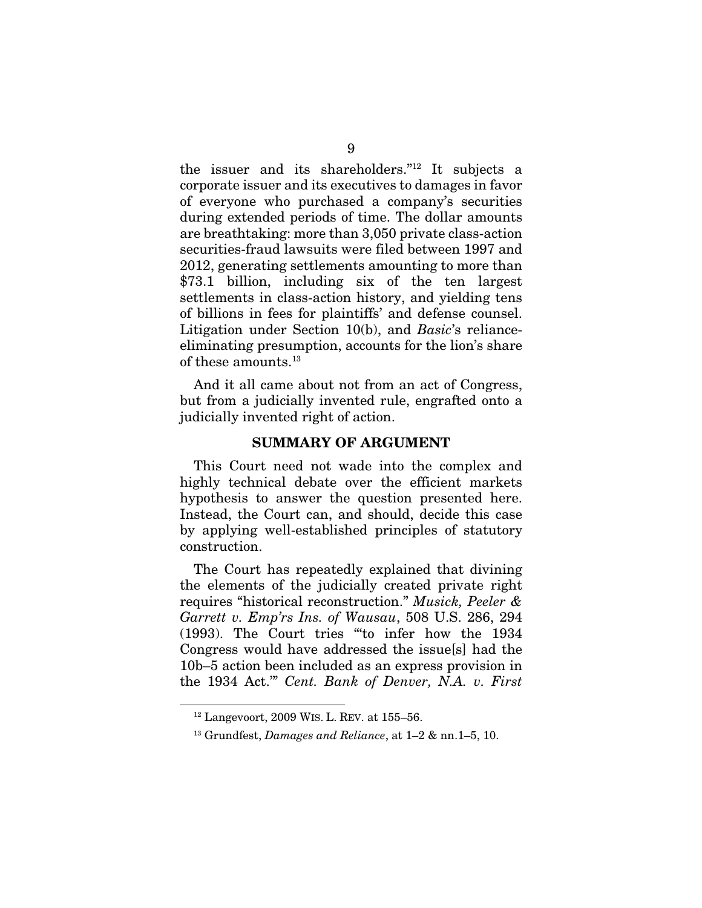the issuer and its shareholders."12 It subjects a corporate issuer and its executives to damages in favor of everyone who purchased a company's securities during extended periods of time. The dollar amounts are breathtaking: more than 3,050 private class-action securities-fraud lawsuits were filed between 1997 and 2012, generating settlements amounting to more than \$73.1 billion, including six of the ten largest settlements in class-action history, and yielding tens of billions in fees for plaintiffs' and defense counsel. Litigation under Section 10(b), and *Basic*'s relianceeliminating presumption, accounts for the lion's share of these amounts.13

And it all came about not from an act of Congress, but from a judicially invented rule, engrafted onto a judicially invented right of action.

#### SUMMARY OF ARGUMENT

This Court need not wade into the complex and highly technical debate over the efficient markets hypothesis to answer the question presented here. Instead, the Court can, and should, decide this case by applying well-established principles of statutory construction.

The Court has repeatedly explained that divining the elements of the judicially created private right requires "historical reconstruction." *Musick, Peeler & Garrett v. Emp'rs Ins. of Wausau*, 508 U.S. 286, 294 (1993). The Court tries "'to infer how the 1934 Congress would have addressed the issue[s] had the 10b–5 action been included as an express provision in the 1934 Act.'" *Cent. Bank of Denver, N.A. v. First* 

-

 $12$  Langevoort, 2009 WIS. L. REV. at 155–56.

<sup>13</sup> Grundfest, *Damages and Reliance*, at 1–2 & nn.1–5, 10.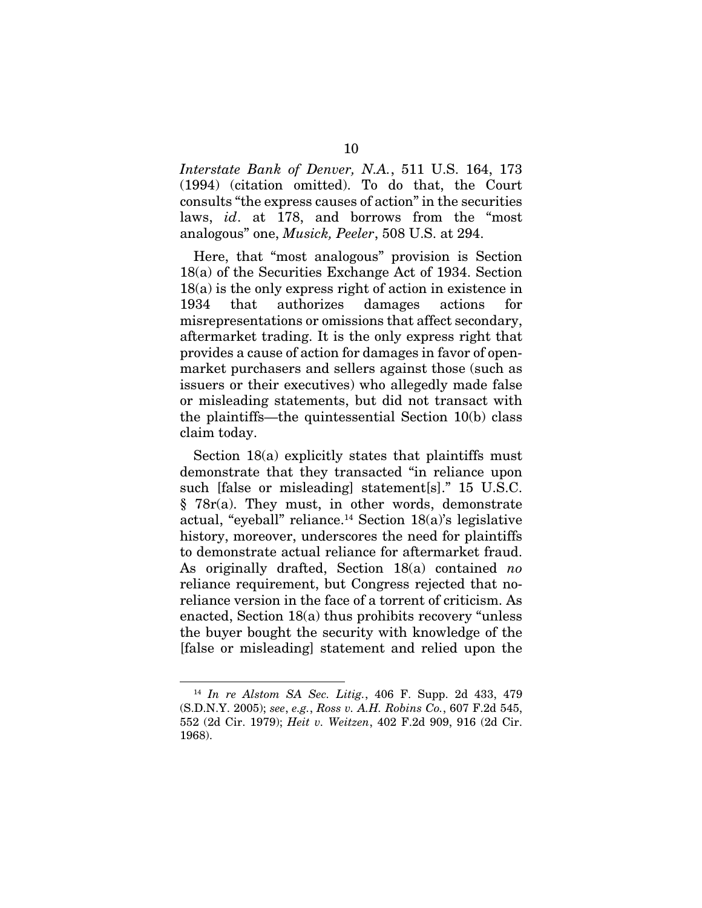*Interstate Bank of Denver, N.A.*, 511 U.S. 164, 173 (1994) (citation omitted). To do that, the Court consults "the express causes of action" in the securities laws, *id*. at 178, and borrows from the "most analogous" one, *Musick, Peeler*, 508 U.S. at 294.

Here, that "most analogous" provision is Section 18(a) of the Securities Exchange Act of 1934. Section 18(a) is the only express right of action in existence in 1934 that authorizes damages actions for misrepresentations or omissions that affect secondary, aftermarket trading. It is the only express right that provides a cause of action for damages in favor of openmarket purchasers and sellers against those (such as issuers or their executives) who allegedly made false or misleading statements, but did not transact with the plaintiffs—the quintessential Section 10(b) class claim today.

Section 18(a) explicitly states that plaintiffs must demonstrate that they transacted "in reliance upon such [false or misleading] statement[s]." 15 U.S.C. § 78r(a). They must, in other words, demonstrate actual, "eyeball" reliance.<sup>14</sup> Section  $18(a)$ 's legislative history, moreover, underscores the need for plaintiffs to demonstrate actual reliance for aftermarket fraud. As originally drafted, Section 18(a) contained *no* reliance requirement, but Congress rejected that noreliance version in the face of a torrent of criticism. As enacted, Section 18(a) thus prohibits recovery "unless the buyer bought the security with knowledge of the [false or misleading] statement and relied upon the

<sup>14</sup> *In re Alstom SA Sec. Litig.*, 406 F. Supp. 2d 433, 479 (S.D.N.Y. 2005); *see*, *e.g.*, *Ross v. A.H. Robins Co.*, 607 F.2d 545, 552 (2d Cir. 1979); *Heit v. Weitzen*, 402 F.2d 909, 916 (2d Cir. 1968).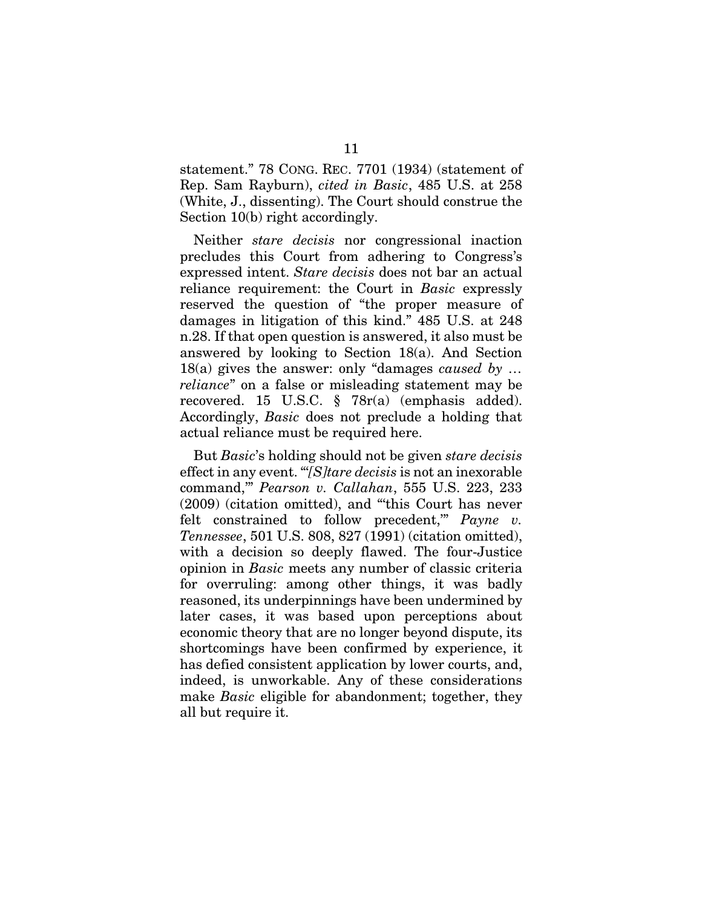statement." 78 CONG. REC. 7701 (1934) (statement of Rep. Sam Rayburn), *cited in Basic*, 485 U.S. at 258 (White, J., dissenting). The Court should construe the Section 10(b) right accordingly.

Neither *stare decisis* nor congressional inaction precludes this Court from adhering to Congress's expressed intent. *Stare decisis* does not bar an actual reliance requirement: the Court in *Basic* expressly reserved the question of "the proper measure of damages in litigation of this kind." 485 U.S. at 248 n.28. If that open question is answered, it also must be answered by looking to Section 18(a). And Section 18(a) gives the answer: only "damages *caused by … reliance*" on a false or misleading statement may be recovered. 15 U.S.C. § 78r(a) (emphasis added). Accordingly, *Basic* does not preclude a holding that actual reliance must be required here.

But *Basic*'s holding should not be given *stare decisis*  effect in any event. "'*[S]tare decisis* is not an inexorable command,'" *Pearson v. Callahan*, 555 U.S. 223, 233 (2009) (citation omitted), and "'this Court has never felt constrained to follow precedent,'" *Payne v. Tennessee*, 501 U.S. 808, 827 (1991) (citation omitted), with a decision so deeply flawed. The four-Justice opinion in *Basic* meets any number of classic criteria for overruling: among other things, it was badly reasoned, its underpinnings have been undermined by later cases, it was based upon perceptions about economic theory that are no longer beyond dispute, its shortcomings have been confirmed by experience, it has defied consistent application by lower courts, and, indeed, is unworkable. Any of these considerations make *Basic* eligible for abandonment; together, they all but require it.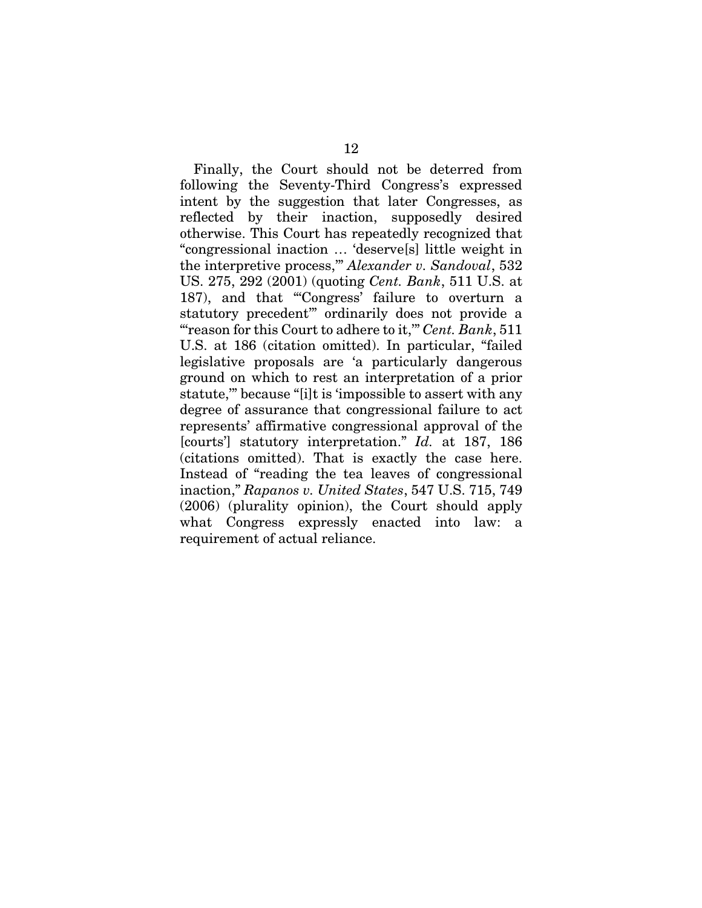Finally, the Court should not be deterred from following the Seventy-Third Congress's expressed intent by the suggestion that later Congresses, as reflected by their inaction, supposedly desired otherwise. This Court has repeatedly recognized that "congressional inaction … 'deserve[s] little weight in the interpretive process,'" *Alexander v. Sandoval*, 532 US. 275, 292 (2001) (quoting *Cent. Bank*, 511 U.S. at 187), and that "'Congress' failure to overturn a statutory precedent'" ordinarily does not provide a "'reason for this Court to adhere to it,'" *Cent. Bank*, 511 U.S. at 186 (citation omitted). In particular, "failed legislative proposals are 'a particularly dangerous ground on which to rest an interpretation of a prior statute,'" because "[i]t is 'impossible to assert with any degree of assurance that congressional failure to act represents' affirmative congressional approval of the [courts'] statutory interpretation." *Id.* at 187, 186 (citations omitted). That is exactly the case here. Instead of "reading the tea leaves of congressional inaction," *Rapanos v. United States*, 547 U.S. 715, 749 (2006) (plurality opinion), the Court should apply what Congress expressly enacted into law: a requirement of actual reliance.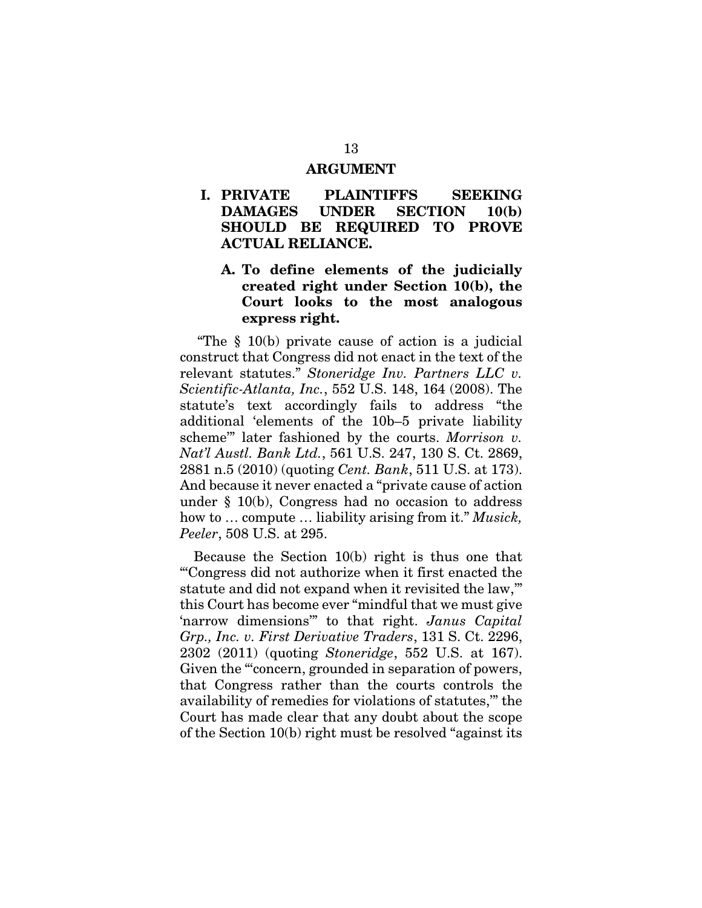#### ARGUMENT

### I. PRIVATE PLAINTIFFS SEEKING DAMAGES UNDER SECTION 10(b) SHOULD BE REQUIRED TO PROVE ACTUAL RELIANCE.

### A. To define elements of the judicially created right under Section 10(b), the Court looks to the most analogous express right.

 "The § 10(b) private cause of action is a judicial construct that Congress did not enact in the text of the relevant statutes." *Stoneridge Inv. Partners LLC v. Scientific-Atlanta, Inc.*, 552 U.S. 148, 164 (2008). The statute's text accordingly fails to address "the additional 'elements of the 10b–5 private liability scheme'" later fashioned by the courts. *Morrison v. Nat'l Austl. Bank Ltd.*, 561 U.S. 247, 130 S. Ct. 2869, 2881 n.5 (2010) (quoting *Cent. Bank*, 511 U.S. at 173). And because it never enacted a "private cause of action under § 10(b), Congress had no occasion to address how to … compute … liability arising from it." *Musick, Peeler*, 508 U.S. at 295.

Because the Section 10(b) right is thus one that "'Congress did not authorize when it first enacted the statute and did not expand when it revisited the law,'" this Court has become ever "mindful that we must give 'narrow dimensions'" to that right. *Janus Capital Grp., Inc. v. First Derivative Traders*, 131 S. Ct. 2296, 2302 (2011) (quoting *Stoneridge*, 552 U.S. at 167). Given the "'concern, grounded in separation of powers, that Congress rather than the courts controls the availability of remedies for violations of statutes,'" the Court has made clear that any doubt about the scope of the Section 10(b) right must be resolved "against its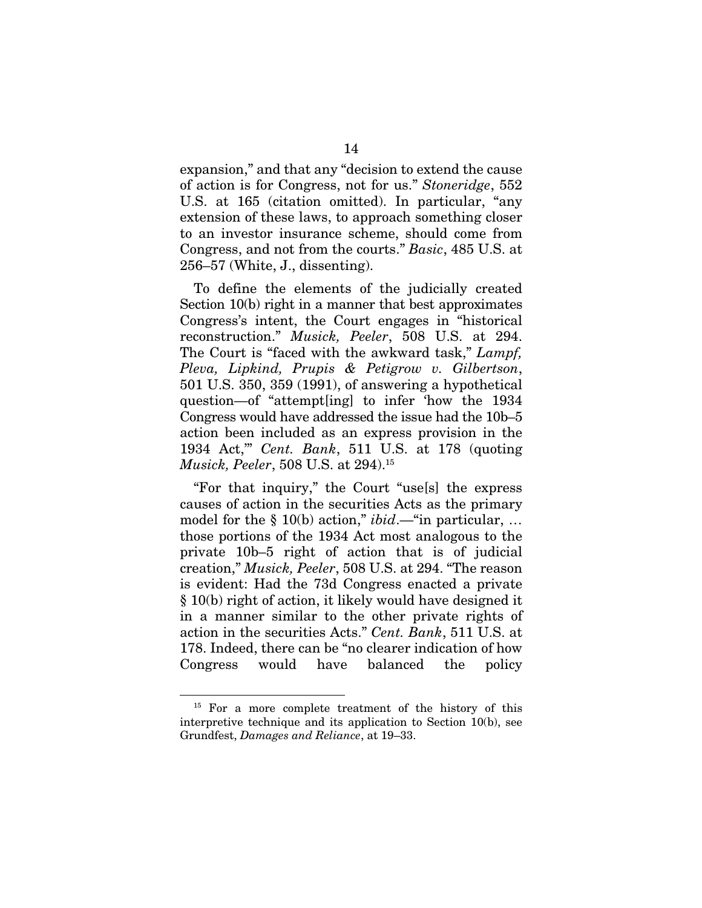expansion," and that any "decision to extend the cause of action is for Congress, not for us." *Stoneridge*, 552 U.S. at 165 (citation omitted). In particular, "any extension of these laws, to approach something closer to an investor insurance scheme, should come from Congress, and not from the courts." *Basic*, 485 U.S. at 256–57 (White, J., dissenting).

To define the elements of the judicially created Section 10(b) right in a manner that best approximates Congress's intent, the Court engages in "historical reconstruction." *Musick, Peeler*, 508 U.S. at 294. The Court is "faced with the awkward task," *Lampf, Pleva, Lipkind, Prupis & Petigrow v. Gilbertson*, 501 U.S. 350, 359 (1991), of answering a hypothetical question—of "attempt[ing] to infer 'how the 1934 Congress would have addressed the issue had the 10b–5 action been included as an express provision in the 1934 Act,'" *Cent. Bank*, 511 U.S. at 178 (quoting *Musick, Peeler*, 508 U.S. at 294).15

"For that inquiry," the Court "use[s] the express causes of action in the securities Acts as the primary model for the § 10(b) action," *ibid*.—"in particular, … those portions of the 1934 Act most analogous to the private 10b–5 right of action that is of judicial creation," *Musick, Peeler*, 508 U.S. at 294. "The reason is evident: Had the 73d Congress enacted a private § 10(b) right of action, it likely would have designed it in a manner similar to the other private rights of action in the securities Acts." *Cent. Bank*, 511 U.S. at 178. Indeed, there can be "no clearer indication of how Congress would have balanced the policy

<sup>&</sup>lt;sup>15</sup> For a more complete treatment of the history of this interpretive technique and its application to Section 10(b), see Grundfest, *Damages and Reliance*, at 19–33.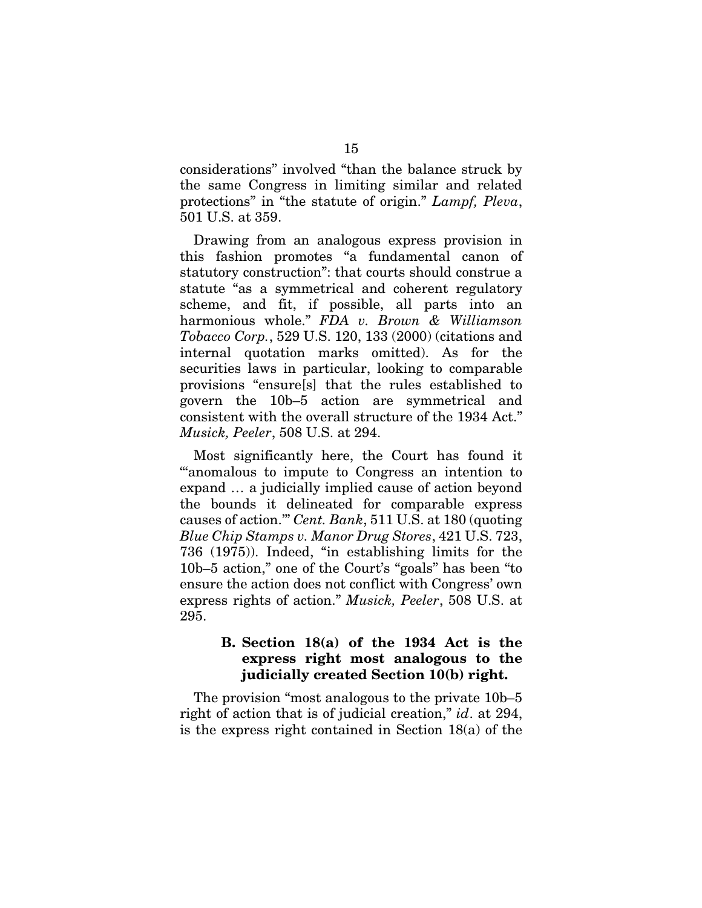considerations" involved "than the balance struck by the same Congress in limiting similar and related protections" in "the statute of origin." *Lampf, Pleva*, 501 U.S. at 359.

Drawing from an analogous express provision in this fashion promotes "a fundamental canon of statutory construction": that courts should construe a statute "as a symmetrical and coherent regulatory scheme, and fit, if possible, all parts into an harmonious whole." *FDA v. Brown & Williamson Tobacco Corp.*, 529 U.S. 120, 133 (2000) (citations and internal quotation marks omitted). As for the securities laws in particular, looking to comparable provisions "ensure[s] that the rules established to govern the 10b–5 action are symmetrical and consistent with the overall structure of the 1934 Act." *Musick, Peeler*, 508 U.S. at 294.

Most significantly here, the Court has found it "'anomalous to impute to Congress an intention to expand … a judicially implied cause of action beyond the bounds it delineated for comparable express causes of action.'" *Cent. Bank*, 511 U.S. at 180 (quoting *Blue Chip Stamps v. Manor Drug Stores*, 421 U.S. 723, 736 (1975)). Indeed, "in establishing limits for the 10b–5 action," one of the Court's "goals" has been "to ensure the action does not conflict with Congress' own express rights of action." *Musick, Peeler*, 508 U.S. at 295.

### B. Section 18(a) of the 1934 Act is the express right most analogous to the judicially created Section 10(b) right.

The provision "most analogous to the private 10b–5 right of action that is of judicial creation," *id*. at 294, is the express right contained in Section 18(a) of the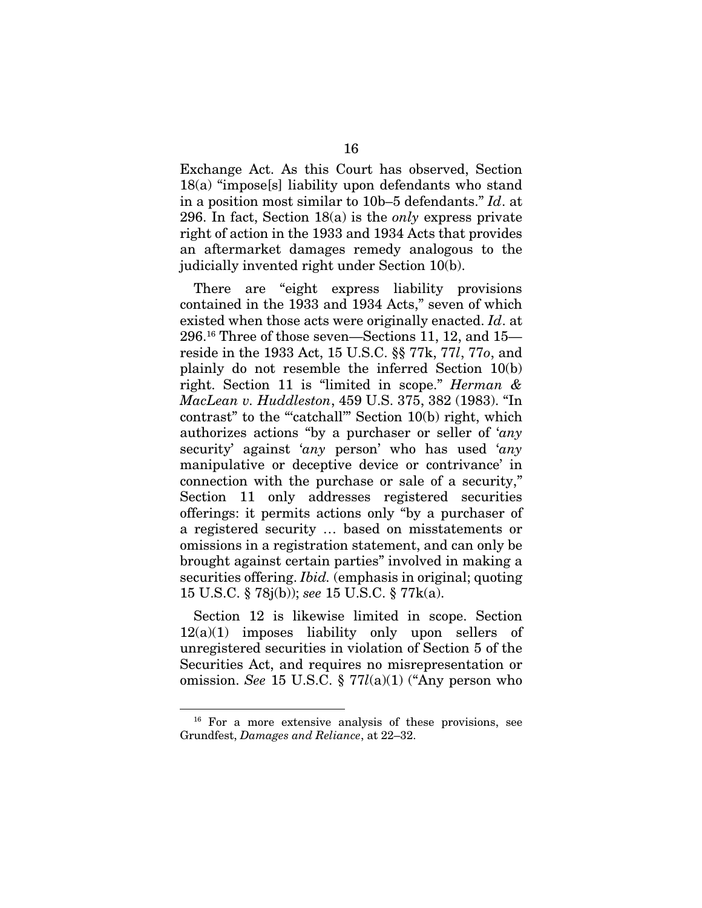Exchange Act. As this Court has observed, Section 18(a) "impose[s] liability upon defendants who stand in a position most similar to 10b–5 defendants." *Id*. at 296. In fact, Section 18(a) is the *only* express private right of action in the 1933 and 1934 Acts that provides an aftermarket damages remedy analogous to the judicially invented right under Section 10(b).

There are "eight express liability provisions contained in the 1933 and 1934 Acts," seven of which existed when those acts were originally enacted. *Id*. at 296.16 Three of those seven—Sections 11, 12, and 15 reside in the 1933 Act, 15 U.S.C. §§ 77k, 77*l*, 77*o*, and plainly do not resemble the inferred Section 10(b) right. Section 11 is "limited in scope." *Herman & MacLean v. Huddleston*, 459 U.S. 375, 382 (1983). "In contrast" to the "catchall" Section 10(b) right, which authorizes actions "by a purchaser or seller of '*any* security' against '*any* person' who has used '*any* manipulative or deceptive device or contrivance' in connection with the purchase or sale of a security," Section 11 only addresses registered securities offerings: it permits actions only "by a purchaser of a registered security … based on misstatements or omissions in a registration statement, and can only be brought against certain parties" involved in making a securities offering. *Ibid.* (emphasis in original; quoting 15 U.S.C. § 78j(b)); *see* 15 U.S.C. § 77k(a).

Section 12 is likewise limited in scope. Section  $12(a)(1)$  imposes liability only upon sellers of unregistered securities in violation of Section 5 of the Securities Act, and requires no misrepresentation or omission. *See* 15 U.S.C. § 77*l*(a)(1) ("Any person who

<sup>16</sup> For a more extensive analysis of these provisions, see Grundfest, *Damages and Reliance*, at 22–32.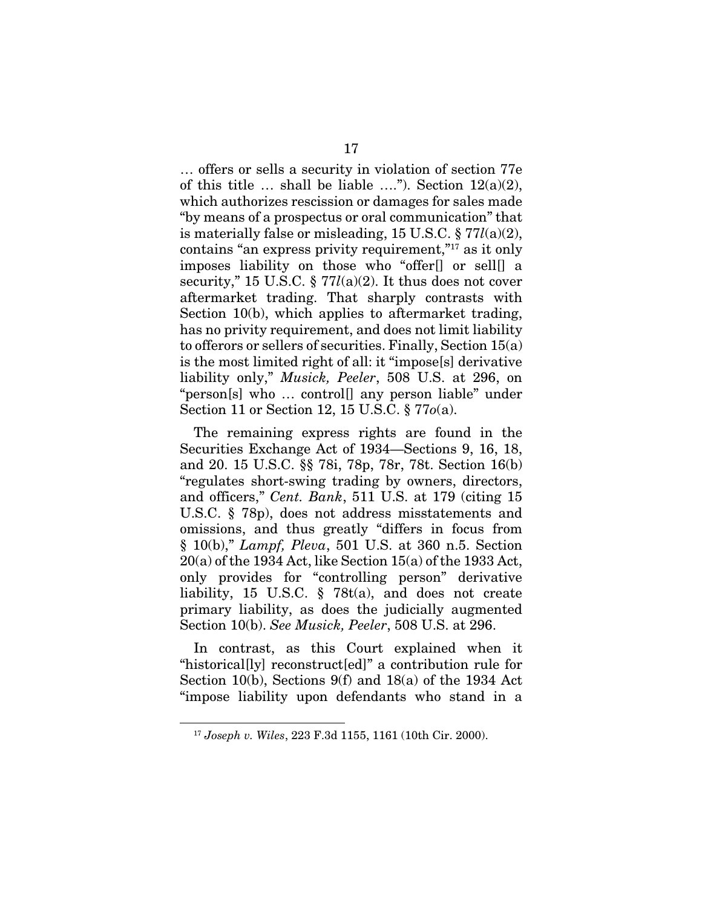… offers or sells a security in violation of section 77e of this title  $\ldots$  shall be liable  $\ldots$ "). Section 12(a)(2), which authorizes rescission or damages for sales made "by means of a prospectus or oral communication" that is materially false or misleading, 15 U.S.C. § 77*l*(a)(2), contains "an express privity requirement,"17 as it only imposes liability on those who "offer[] or sell[] a security," 15 U.S.C. § 77*l*(a)(2). It thus does not cover aftermarket trading. That sharply contrasts with Section 10(b), which applies to aftermarket trading, has no privity requirement, and does not limit liability to offerors or sellers of securities. Finally, Section 15(a) is the most limited right of all: it "impose[s] derivative liability only," *Musick, Peeler*, 508 U.S. at 296, on "person[s] who … control[] any person liable" under Section 11 or Section 12, 15 U.S.C. § 77*o*(a).

The remaining express rights are found in the Securities Exchange Act of 1934—Sections 9, 16, 18, and 20. 15 U.S.C. §§ 78i, 78p, 78r, 78t. Section 16(b) "regulates short-swing trading by owners, directors, and officers," *Cent. Bank*, 511 U.S. at 179 (citing 15 U.S.C. § 78p), does not address misstatements and omissions, and thus greatly "differs in focus from § 10(b)," *Lampf, Pleva*, 501 U.S. at 360 n.5. Section 20(a) of the 1934 Act, like Section 15(a) of the 1933 Act, only provides for "controlling person" derivative liability, 15 U.S.C. § 78t(a), and does not create primary liability, as does the judicially augmented Section 10(b). *See Musick, Peeler*, 508 U.S. at 296.

In contrast, as this Court explained when it "historical[ly] reconstruct[ed]" a contribution rule for Section 10(b), Sections 9(f) and 18(a) of the 1934 Act "impose liability upon defendants who stand in a

<sup>17</sup> *Joseph v. Wiles*, 223 F.3d 1155, 1161 (10th Cir. 2000).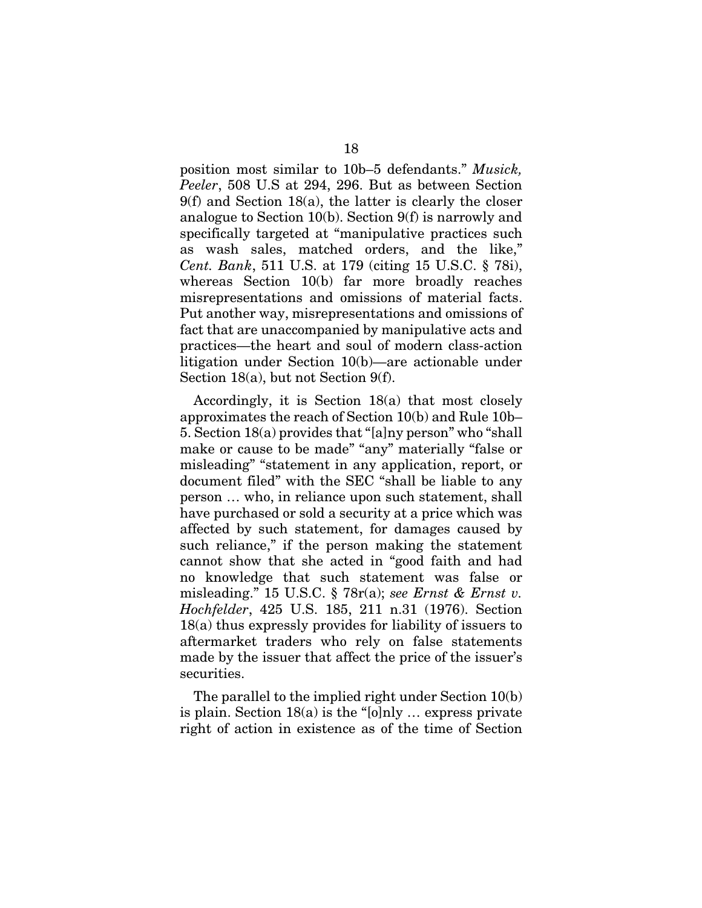position most similar to 10b–5 defendants." *Musick, Peeler*, 508 U.S at 294, 296. But as between Section 9(f) and Section 18(a), the latter is clearly the closer analogue to Section 10(b). Section 9(f) is narrowly and specifically targeted at "manipulative practices such as wash sales, matched orders, and the like," *Cent. Bank*, 511 U.S. at 179 (citing 15 U.S.C. § 78i), whereas Section 10(b) far more broadly reaches misrepresentations and omissions of material facts. Put another way, misrepresentations and omissions of fact that are unaccompanied by manipulative acts and practices—the heart and soul of modern class-action litigation under Section 10(b)—are actionable under Section 18(a), but not Section 9(f).

Accordingly, it is Section 18(a) that most closely approximates the reach of Section 10(b) and Rule 10b– 5. Section 18(a) provides that "[a]ny person" who "shall make or cause to be made" "any" materially "false or misleading" "statement in any application, report, or document filed" with the SEC "shall be liable to any person … who, in reliance upon such statement, shall have purchased or sold a security at a price which was affected by such statement, for damages caused by such reliance," if the person making the statement cannot show that she acted in "good faith and had no knowledge that such statement was false or misleading." 15 U.S.C. § 78r(a); *see Ernst & Ernst v. Hochfelder*, 425 U.S. 185, 211 n.31 (1976). Section 18(a) thus expressly provides for liability of issuers to aftermarket traders who rely on false statements made by the issuer that affect the price of the issuer's securities.

The parallel to the implied right under Section 10(b) is plain. Section 18(a) is the "[o]nly … express private right of action in existence as of the time of Section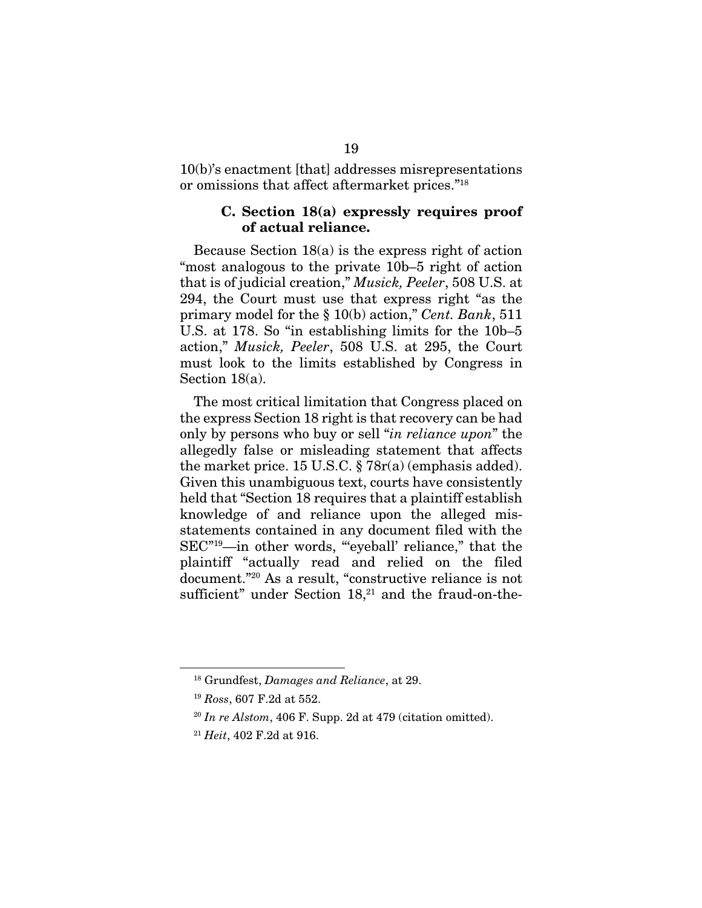10(b)'s enactment [that] addresses misrepresentations or omissions that affect aftermarket prices."18

#### C. Section 18(a) expressly requires proof of actual reliance.

Because Section 18(a) is the express right of action "most analogous to the private 10b–5 right of action that is of judicial creation," *Musick, Peeler*, 508 U.S. at 294, the Court must use that express right "as the primary model for the § 10(b) action," *Cent. Bank*, 511 U.S. at 178. So "in establishing limits for the 10b–5 action," *Musick, Peeler*, 508 U.S. at 295, the Court must look to the limits established by Congress in Section 18(a).

The most critical limitation that Congress placed on the express Section 18 right is that recovery can be had only by persons who buy or sell "*in reliance upon*" the allegedly false or misleading statement that affects the market price. 15 U.S.C. § 78r(a) (emphasis added). Given this unambiguous text, courts have consistently held that "Section 18 requires that a plaintiff establish knowledge of and reliance upon the alleged misstatements contained in any document filed with the SEC<sup>"19</sup>—in other words, ""eyeball' reliance," that the plaintiff "actually read and relied on the filed document."20 As a result, "constructive reliance is not sufficient" under Section  $18<sub>1</sub><sup>21</sup>$  and the fraud-on-the-

<sup>18</sup> Grundfest, *Damages and Reliance*, at 29.

<sup>19</sup> *Ross*, 607 F.2d at 552.

<sup>20</sup> *In re Alstom*, 406 F. Supp. 2d at 479 (citation omitted).

<sup>21</sup> *Heit*, 402 F.2d at 916.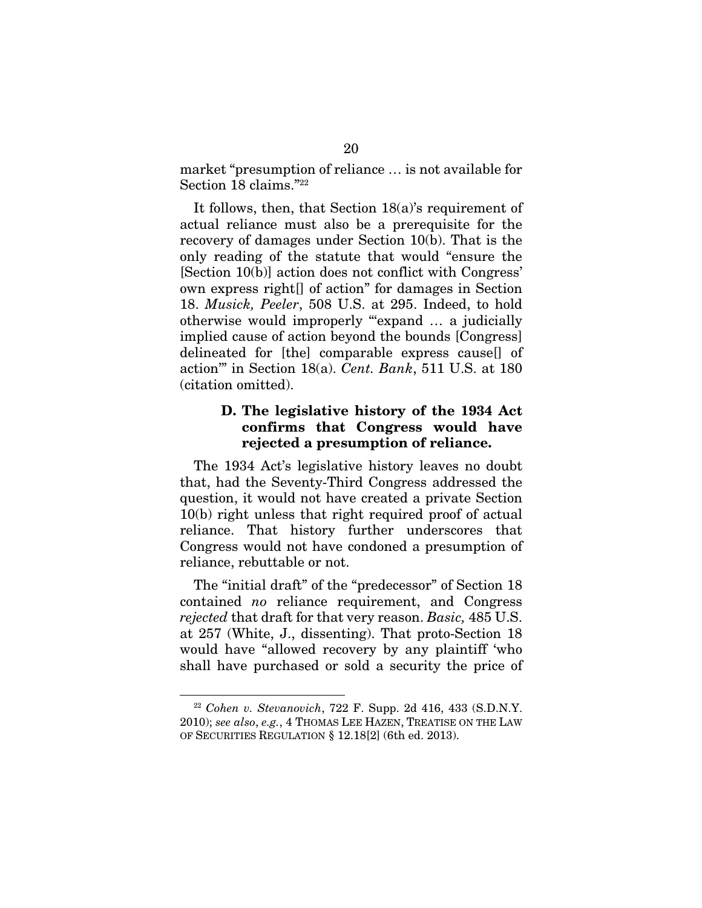market "presumption of reliance … is not available for Section 18 claims."<sup>22</sup>

It follows, then, that Section 18(a)'s requirement of actual reliance must also be a prerequisite for the recovery of damages under Section 10(b). That is the only reading of the statute that would "ensure the [Section 10(b)] action does not conflict with Congress' own express right[] of action" for damages in Section 18. *Musick, Peeler*, 508 U.S. at 295. Indeed, to hold otherwise would improperly "'expand … a judicially implied cause of action beyond the bounds [Congress] delineated for [the] comparable express cause[] of action'" in Section 18(a). *Cent. Bank*, 511 U.S. at 180 (citation omitted).

#### D. The legislative history of the 1934 Act confirms that Congress would have rejected a presumption of reliance.

The 1934 Act's legislative history leaves no doubt that, had the Seventy-Third Congress addressed the question, it would not have created a private Section 10(b) right unless that right required proof of actual reliance. That history further underscores that Congress would not have condoned a presumption of reliance, rebuttable or not.

The "initial draft" of the "predecessor" of Section 18 contained *no* reliance requirement, and Congress *rejected* that draft for that very reason. *Basic,* 485 U.S. at 257 (White, J., dissenting). That proto-Section 18 would have "allowed recovery by any plaintiff 'who shall have purchased or sold a security the price of

<sup>22</sup> *Cohen v. Stevanovich*, 722 F. Supp. 2d 416, 433 (S.D.N.Y. 2010); *see also*, *e.g.*, 4 THOMAS LEE HAZEN, TREATISE ON THE LAW OF SECURITIES REGULATION § 12.18[2] (6th ed. 2013).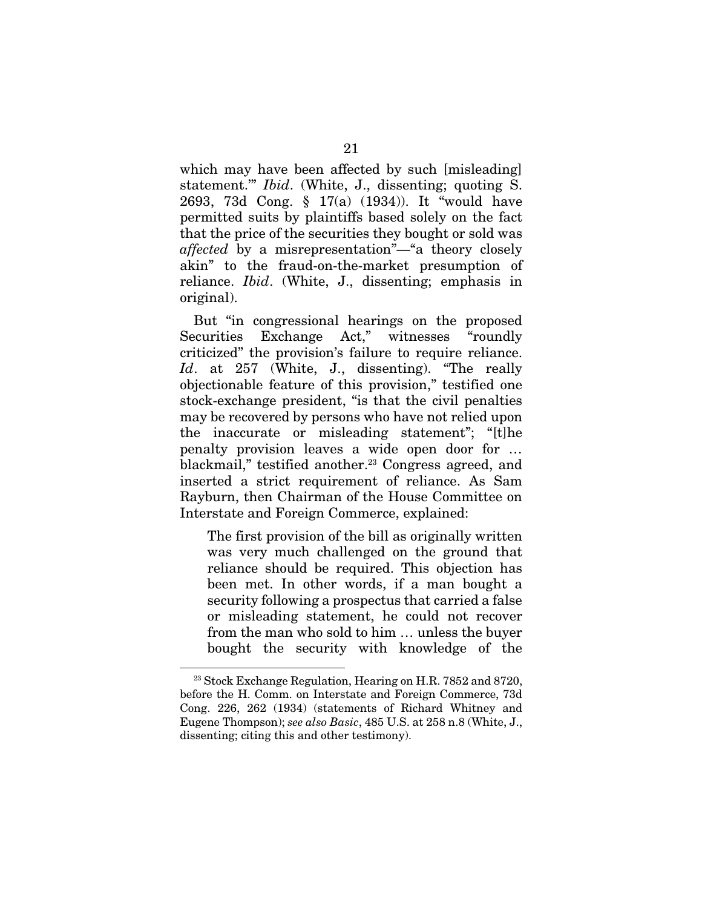which may have been affected by such [misleading] statement.'" *Ibid*. (White, J., dissenting; quoting S. 2693, 73d Cong. § 17(a) (1934)). It "would have permitted suits by plaintiffs based solely on the fact that the price of the securities they bought or sold was *affected* by a misrepresentation"—"a theory closely akin" to the fraud-on-the-market presumption of reliance. *Ibid*. (White, J., dissenting; emphasis in original).

But "in congressional hearings on the proposed Securities Exchange Act," witnesses "roundly criticized" the provision's failure to require reliance. *Id*. at 257 (White, J., dissenting). "The really objectionable feature of this provision," testified one stock-exchange president, "is that the civil penalties may be recovered by persons who have not relied upon the inaccurate or misleading statement"; "[t]he penalty provision leaves a wide open door for … blackmail," testified another.<sup>23</sup> Congress agreed, and inserted a strict requirement of reliance. As Sam Rayburn, then Chairman of the House Committee on Interstate and Foreign Commerce, explained:

The first provision of the bill as originally written was very much challenged on the ground that reliance should be required. This objection has been met. In other words, if a man bought a security following a prospectus that carried a false or misleading statement, he could not recover from the man who sold to him … unless the buyer bought the security with knowledge of the

<sup>&</sup>lt;sup>23</sup> Stock Exchange Regulation, Hearing on H.R. 7852 and 8720, before the H. Comm. on Interstate and Foreign Commerce, 73d Cong. 226, 262 (1934) (statements of Richard Whitney and Eugene Thompson); *see also Basic*, 485 U.S. at 258 n.8 (White, J., dissenting; citing this and other testimony).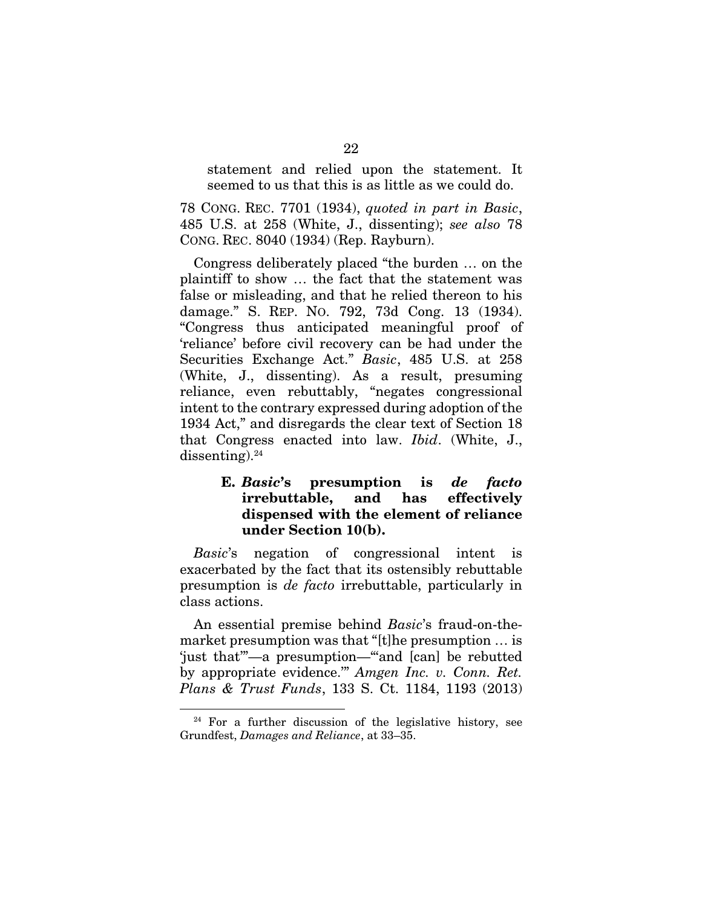statement and relied upon the statement. It seemed to us that this is as little as we could do.

78 CONG. REC. 7701 (1934), *quoted in part in Basic*, 485 U.S. at 258 (White, J., dissenting); *see also* 78 CONG. REC. 8040 (1934) (Rep. Rayburn).

Congress deliberately placed "the burden … on the plaintiff to show … the fact that the statement was false or misleading, and that he relied thereon to his damage." S. REP. NO. 792, 73d Cong. 13 (1934). "Congress thus anticipated meaningful proof of 'reliance' before civil recovery can be had under the Securities Exchange Act." *Basic*, 485 U.S. at 258 (White, J., dissenting). As a result, presuming reliance, even rebuttably, "negates congressional intent to the contrary expressed during adoption of the 1934 Act," and disregards the clear text of Section 18 that Congress enacted into law. *Ibid*. (White, J., dissenting). $24$ 

### E. *Basic*'s presumption is *de facto* irrebuttable, and has effectively dispensed with the element of reliance under Section 10(b).

*Basic*'s negation of congressional intent is exacerbated by the fact that its ostensibly rebuttable presumption is *de facto* irrebuttable, particularly in class actions.

An essential premise behind *Basic*'s fraud-on-themarket presumption was that "[t]he presumption … is 'just that'"—a presumption—"'and [can] be rebutted by appropriate evidence.'" *Amgen Inc. v. Conn. Ret. Plans & Trust Funds*, 133 S. Ct. 1184, 1193 (2013)

 $24$  For a further discussion of the legislative history, see Grundfest, *Damages and Reliance*, at 33–35.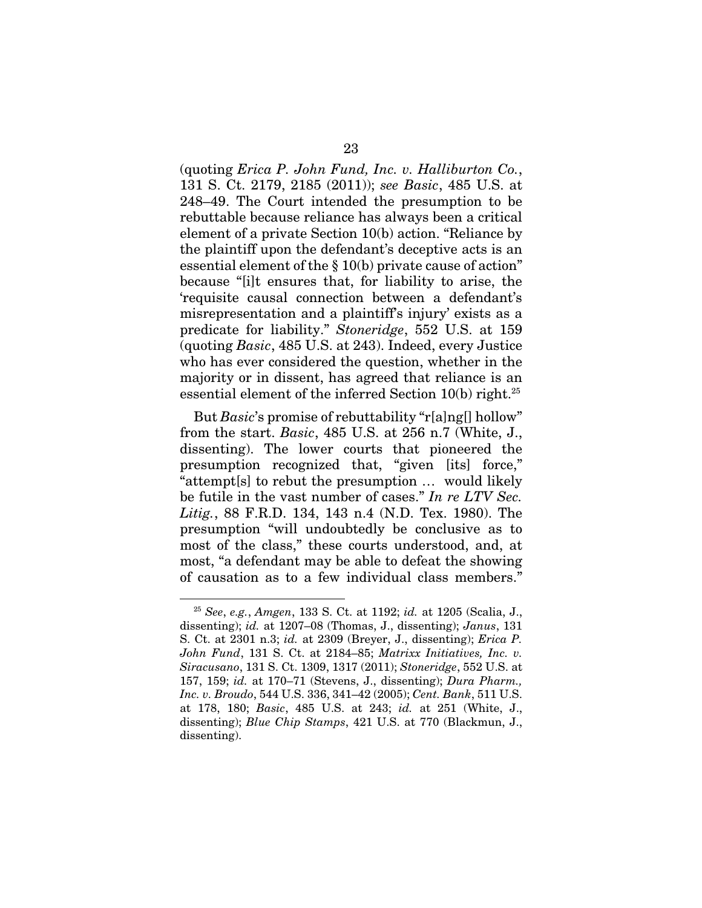(quoting *Erica P. John Fund, Inc. v. Halliburton Co.*, 131 S. Ct. 2179, 2185 (2011)); *see Basic*, 485 U.S. at 248–49. The Court intended the presumption to be rebuttable because reliance has always been a critical element of a private Section 10(b) action. "Reliance by the plaintiff upon the defendant's deceptive acts is an essential element of the § 10(b) private cause of action" because "[i]t ensures that, for liability to arise, the 'requisite causal connection between a defendant's misrepresentation and a plaintiff's injury' exists as a predicate for liability." *Stoneridge*, 552 U.S. at 159 (quoting *Basic*, 485 U.S. at 243). Indeed, every Justice who has ever considered the question, whether in the majority or in dissent, has agreed that reliance is an essential element of the inferred Section  $10(b)$  right.<sup>25</sup>

But *Basic*'s promise of rebuttability "r[a]ng[] hollow" from the start. *Basic*, 485 U.S. at 256 n.7 (White, J., dissenting). The lower courts that pioneered the presumption recognized that, "given [its] force," "attempt[s] to rebut the presumption … would likely be futile in the vast number of cases." *In re LTV Sec. Litig.*, 88 F.R.D. 134, 143 n.4 (N.D. Tex. 1980). The presumption "will undoubtedly be conclusive as to most of the class," these courts understood, and, at most, "a defendant may be able to defeat the showing of causation as to a few individual class members."

<sup>25</sup> *See*, *e.g.*, *Amgen*, 133 S. Ct. at 1192; *id.* at 1205 (Scalia, J., dissenting); *id.* at 1207–08 (Thomas, J., dissenting); *Janus*, 131 S. Ct. at 2301 n.3; *id.* at 2309 (Breyer, J., dissenting); *Erica P. John Fund*, 131 S. Ct. at 2184–85; *Matrixx Initiatives, Inc. v. Siracusano*, 131 S. Ct. 1309, 1317 (2011); *Stoneridge*, 552 U.S. at 157, 159; *id.* at 170–71 (Stevens, J., dissenting); *Dura Pharm., Inc. v. Broudo*, 544 U.S. 336, 341–42 (2005); *Cent. Bank*, 511 U.S. at 178, 180; *Basic*, 485 U.S. at 243; *id.* at 251 (White, J., dissenting); *Blue Chip Stamps*, 421 U.S. at 770 (Blackmun, J., dissenting).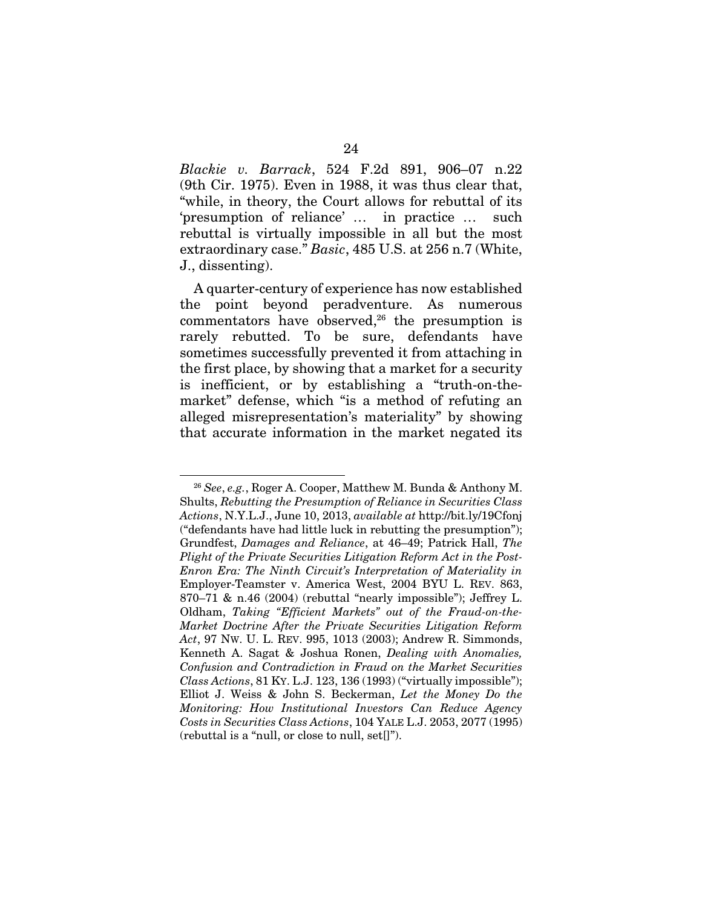*Blackie v. Barrack*, 524 F.2d 891, 906–07 n.22 (9th Cir. 1975). Even in 1988, it was thus clear that, "while, in theory, the Court allows for rebuttal of its 'presumption of reliance' … in practice … such rebuttal is virtually impossible in all but the most extraordinary case." *Basic*, 485 U.S. at 256 n.7 (White, J., dissenting).

A quarter-century of experience has now established the point beyond peradventure. As numerous commentators have observed, $26$  the presumption is rarely rebutted. To be sure, defendants have sometimes successfully prevented it from attaching in the first place, by showing that a market for a security is inefficient, or by establishing a "truth-on-themarket" defense, which "is a method of refuting an alleged misrepresentation's materiality" by showing that accurate information in the market negated its

<sup>26</sup> *See*, *e.g.*, Roger A. Cooper, Matthew M. Bunda & Anthony M. Shults, *Rebutting the Presumption of Reliance in Securities Class Actions*, N.Y.L.J., June 10, 2013, *available at* http://bit.ly/19Cfonj ("defendants have had little luck in rebutting the presumption"); Grundfest, *Damages and Reliance*, at 46–49; Patrick Hall, *The Plight of the Private Securities Litigation Reform Act in the Post-Enron Era: The Ninth Circuit's Interpretation of Materiality in* Employer-Teamster v. America West, 2004 BYU L. REV. 863, 870–71 & n.46 (2004) (rebuttal "nearly impossible"); Jeffrey L. Oldham, *Taking "Efficient Markets" out of the Fraud-on-the-Market Doctrine After the Private Securities Litigation Reform Act*, 97 NW. U. L. REV. 995, 1013 (2003); Andrew R. Simmonds, Kenneth A. Sagat & Joshua Ronen, *Dealing with Anomalies, Confusion and Contradiction in Fraud on the Market Securities Class Actions*, 81 KY. L.J. 123, 136 (1993) ("virtually impossible"); Elliot J. Weiss & John S. Beckerman, *Let the Money Do the Monitoring: How Institutional Investors Can Reduce Agency Costs in Securities Class Actions*, 104 YALE L.J. 2053, 2077 (1995) (rebuttal is a "null, or close to null, set[]").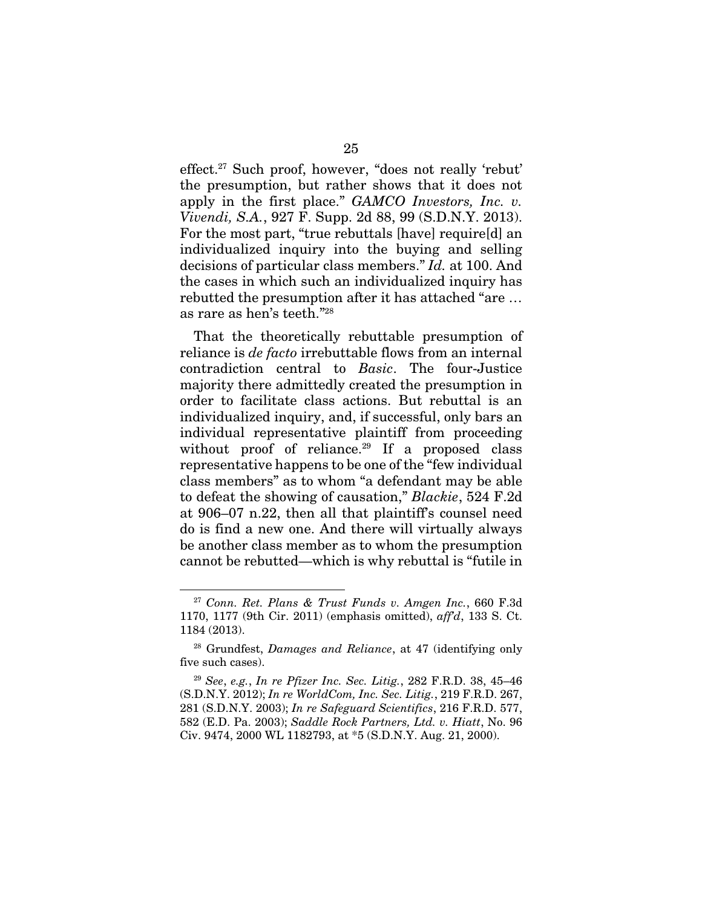effect.27 Such proof, however, "does not really 'rebut' the presumption, but rather shows that it does not apply in the first place." *GAMCO Investors, Inc. v. Vivendi, S.A.*, 927 F. Supp. 2d 88, 99 (S.D.N.Y. 2013). For the most part, "true rebuttals [have] require[d] an individualized inquiry into the buying and selling decisions of particular class members." *Id.* at 100. And the cases in which such an individualized inquiry has rebutted the presumption after it has attached "are … as rare as hen's teeth."28

That the theoretically rebuttable presumption of reliance is *de facto* irrebuttable flows from an internal contradiction central to *Basic*. The four-Justice majority there admittedly created the presumption in order to facilitate class actions. But rebuttal is an individualized inquiry, and, if successful, only bars an individual representative plaintiff from proceeding without proof of reliance.<sup>29</sup> If a proposed class representative happens to be one of the "few individual class members" as to whom "a defendant may be able to defeat the showing of causation," *Blackie*, 524 F.2d at 906–07 n.22, then all that plaintiff's counsel need do is find a new one. And there will virtually always be another class member as to whom the presumption cannot be rebutted—which is why rebuttal is "futile in

1

<sup>27</sup> *Conn. Ret. Plans & Trust Funds v. Amgen Inc.*, 660 F.3d 1170, 1177 (9th Cir. 2011) (emphasis omitted), *aff'd*, 133 S. Ct. 1184 (2013).

<sup>28</sup> Grundfest, *Damages and Reliance*, at 47 (identifying only five such cases).

<sup>29</sup> *See*, *e.g.*, *In re Pfizer Inc. Sec. Litig.*, 282 F.R.D. 38, 45–46 (S.D.N.Y. 2012); *In re WorldCom, Inc. Sec. Litig.*, 219 F.R.D. 267, 281 (S.D.N.Y. 2003); *In re Safeguard Scientifics*, 216 F.R.D. 577, 582 (E.D. Pa. 2003); *Saddle Rock Partners, Ltd. v. Hiatt*, No. 96 Civ. 9474, 2000 WL 1182793, at \*5 (S.D.N.Y. Aug. 21, 2000).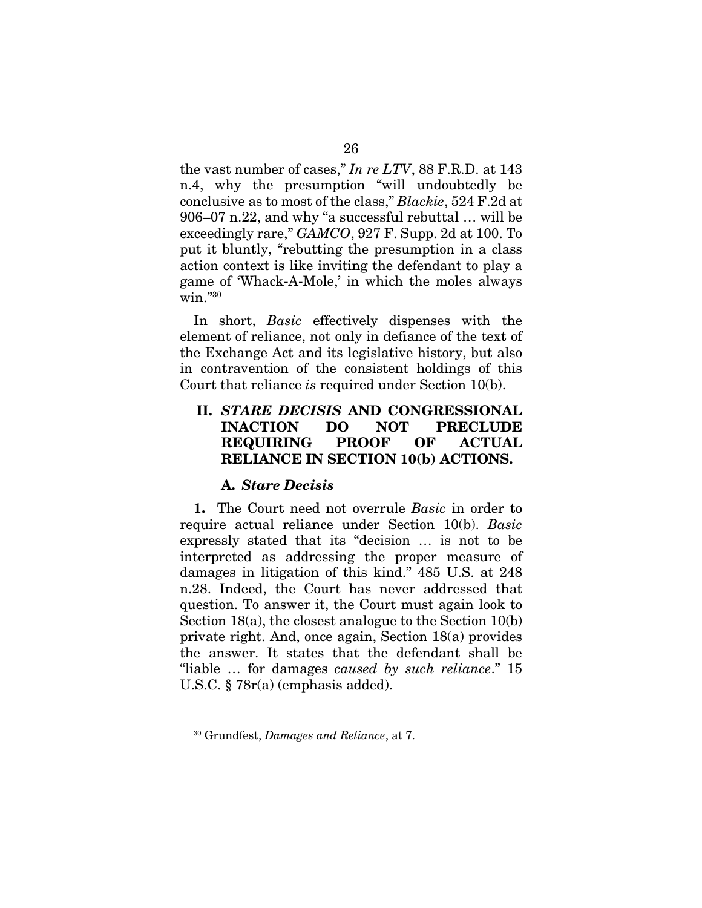the vast number of cases," *In re LTV*, 88 F.R.D. at 143 n.4, why the presumption "will undoubtedly be conclusive as to most of the class," *Blackie*, 524 F.2d at 906–07 n.22, and why "a successful rebuttal … will be exceedingly rare," *GAMCO*, 927 F. Supp. 2d at 100. To put it bluntly, "rebutting the presumption in a class action context is like inviting the defendant to play a game of 'Whack-A-Mole,' in which the moles always win."30

In short, *Basic* effectively dispenses with the element of reliance, not only in defiance of the text of the Exchange Act and its legislative history, but also in contravention of the consistent holdings of this Court that reliance *is* required under Section 10(b).

### II. *STARE DECISIS* AND CONGRESSIONAL INACTION DO NOT PRECLUDE REQUIRING PROOF OF ACTUAL RELIANCE IN SECTION 10(b) ACTIONS.

#### A. *Stare Decisis*

1. The Court need not overrule *Basic* in order to require actual reliance under Section 10(b). *Basic*  expressly stated that its "decision … is not to be interpreted as addressing the proper measure of damages in litigation of this kind." 485 U.S. at 248 n.28. Indeed, the Court has never addressed that question. To answer it, the Court must again look to Section 18(a), the closest analogue to the Section 10(b) private right. And, once again, Section 18(a) provides the answer. It states that the defendant shall be "liable … for damages *caused by such reliance*." 15 U.S.C. § 78r(a) (emphasis added).

<sup>30</sup> Grundfest, *Damages and Reliance*, at 7.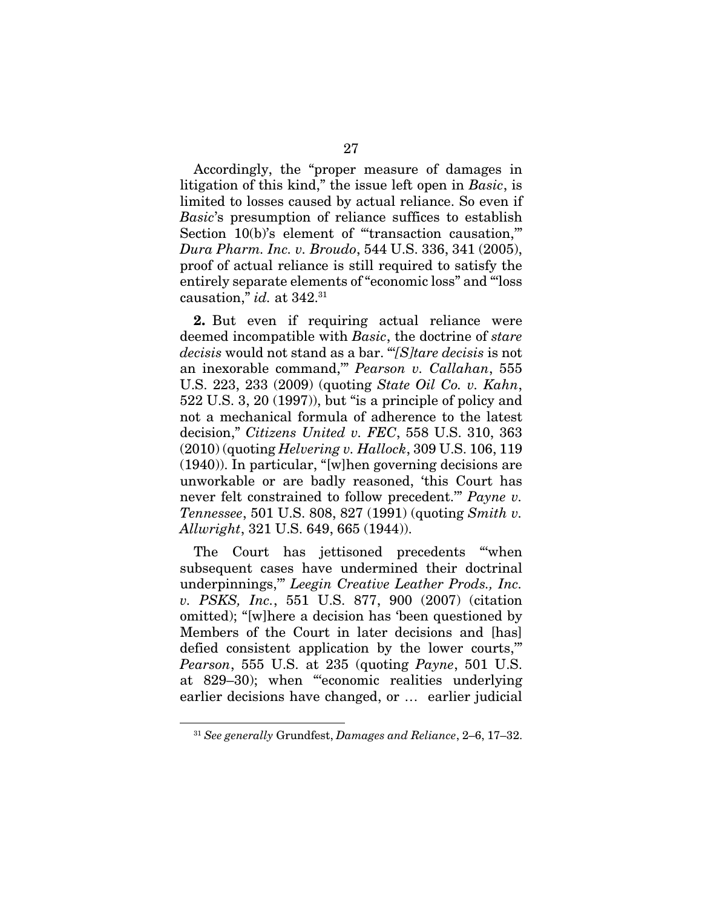Accordingly, the "proper measure of damages in litigation of this kind," the issue left open in *Basic*, is limited to losses caused by actual reliance. So even if *Basic*'s presumption of reliance suffices to establish Section 10(b)'s element of "transaction causation," *Dura Pharm. Inc. v. Broudo*, 544 U.S. 336, 341 (2005), proof of actual reliance is still required to satisfy the entirely separate elements of "economic loss" and "'loss causation," *id.* at 342.31

2. But even if requiring actual reliance were deemed incompatible with *Basic*, the doctrine of *stare decisis* would not stand as a bar. "'*[S]tare decisis* is not an inexorable command,'" *Pearson v. Callahan*, 555 U.S. 223, 233 (2009) (quoting *State Oil Co. v. Kahn*, 522 U.S. 3, 20 (1997)), but "is a principle of policy and not a mechanical formula of adherence to the latest decision," *Citizens United v. FEC*, 558 U.S. 310, 363 (2010) (quoting *Helvering v. Hallock*, 309 U.S. 106, 119 (1940)). In particular, "[w]hen governing decisions are unworkable or are badly reasoned, 'this Court has never felt constrained to follow precedent.'" *Payne v. Tennessee*, 501 U.S. 808, 827 (1991) (quoting *Smith v. Allwright*, 321 U.S. 649, 665 (1944)).

The Court has jettisoned precedents "'when subsequent cases have undermined their doctrinal underpinnings,'" *Leegin Creative Leather Prods., Inc. v. PSKS, Inc.*, 551 U.S. 877, 900 (2007) (citation omitted); "[w]here a decision has 'been questioned by Members of the Court in later decisions and [has] defied consistent application by the lower courts,'" *Pearson*, 555 U.S. at 235 (quoting *Payne*, 501 U.S. at 829–30); when "'economic realities underlying earlier decisions have changed, or … earlier judicial

<sup>31</sup> *See generally* Grundfest, *Damages and Reliance*, 2–6, 17–32.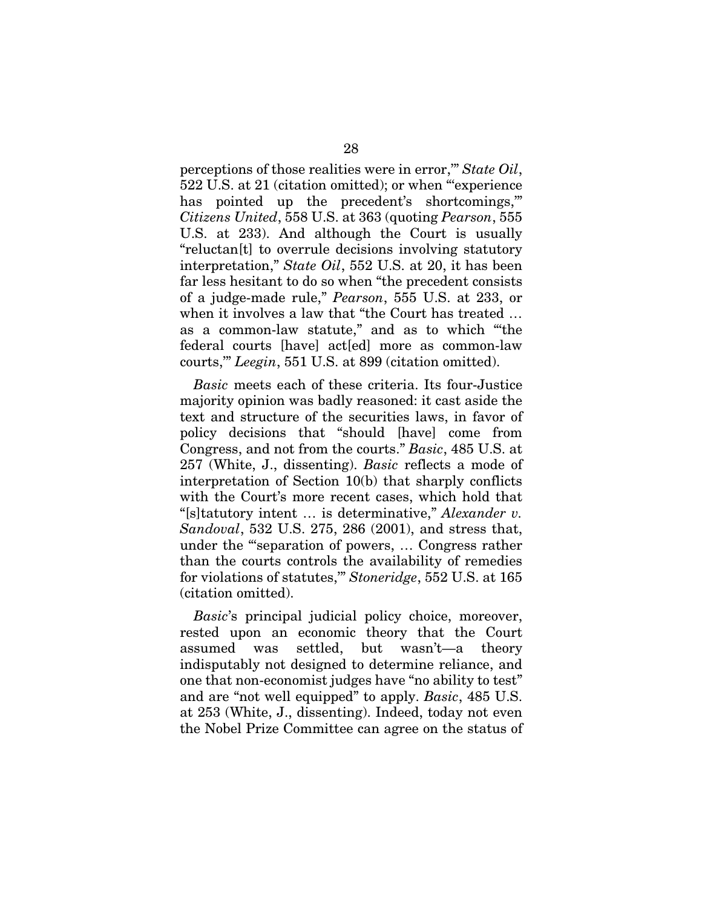perceptions of those realities were in error,'" *State Oil*, 522 U.S. at 21 (citation omitted); or when "'experience has pointed up the precedent's shortcomings," *Citizens United*, 558 U.S. at 363 (quoting *Pearson*, 555 U.S. at 233). And although the Court is usually "reluctan[t] to overrule decisions involving statutory interpretation," *State Oil*, 552 U.S. at 20, it has been far less hesitant to do so when "the precedent consists of a judge-made rule," *Pearson*, 555 U.S. at 233, or when it involves a law that "the Court has treated … as a common-law statute," and as to which "'the federal courts [have] act[ed] more as common-law courts,'" *Leegin*, 551 U.S. at 899 (citation omitted).

*Basic* meets each of these criteria. Its four-Justice majority opinion was badly reasoned: it cast aside the text and structure of the securities laws, in favor of policy decisions that "should [have] come from Congress, and not from the courts." *Basic*, 485 U.S. at 257 (White, J., dissenting). *Basic* reflects a mode of interpretation of Section 10(b) that sharply conflicts with the Court's more recent cases, which hold that "[s]tatutory intent … is determinative," *Alexander v. Sandoval*, 532 U.S. 275, 286 (2001), and stress that, under the "'separation of powers, … Congress rather than the courts controls the availability of remedies for violations of statutes,'" *Stoneridge*, 552 U.S. at 165 (citation omitted).

*Basic*'s principal judicial policy choice, moreover, rested upon an economic theory that the Court assumed was settled, but wasn't—a theory indisputably not designed to determine reliance, and one that non-economist judges have "no ability to test" and are "not well equipped" to apply. *Basic*, 485 U.S. at 253 (White, J., dissenting). Indeed, today not even the Nobel Prize Committee can agree on the status of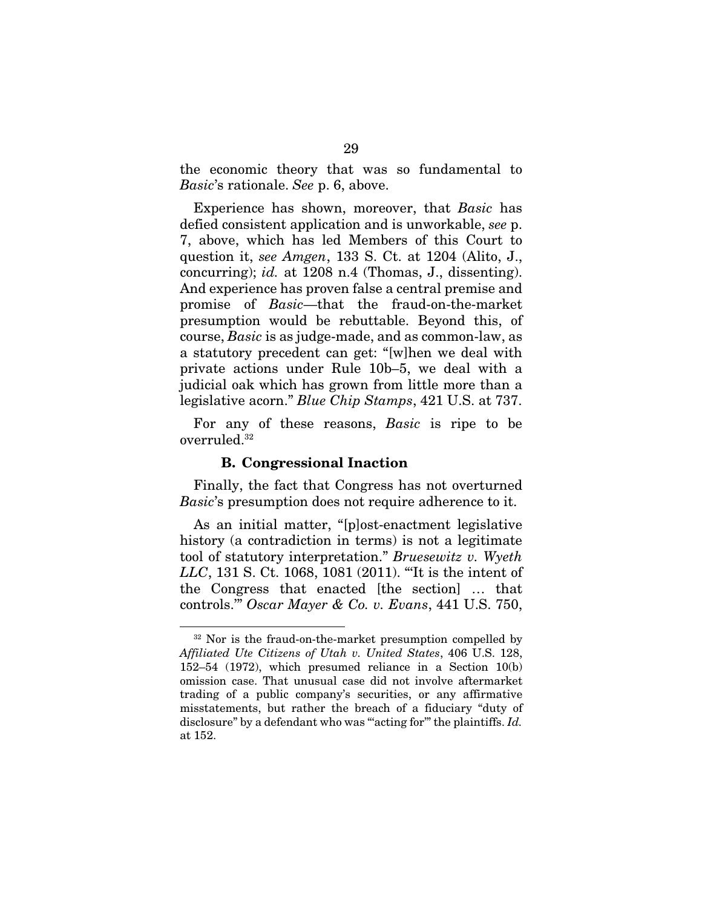the economic theory that was so fundamental to *Basic*'s rationale. *See* p. 6, above.

Experience has shown, moreover, that *Basic* has defied consistent application and is unworkable, *see* p. 7, above, which has led Members of this Court to question it, *see Amgen*, 133 S. Ct. at 1204 (Alito, J., concurring); *id.* at 1208 n.4 (Thomas, J., dissenting). And experience has proven false a central premise and promise of *Basic*—that the fraud-on-the-market presumption would be rebuttable. Beyond this, of course, *Basic* is as judge-made, and as common-law, as a statutory precedent can get: "[w]hen we deal with private actions under Rule 10b–5, we deal with a judicial oak which has grown from little more than a legislative acorn." *Blue Chip Stamps*, 421 U.S. at 737.

For any of these reasons, *Basic* is ripe to be overruled.32

#### B. Congressional Inaction

 $\overline{a}$ 

Finally, the fact that Congress has not overturned *Basic*'s presumption does not require adherence to it.

As an initial matter, "[p]ost-enactment legislative history (a contradiction in terms) is not a legitimate tool of statutory interpretation." *Bruesewitz v. Wyeth LLC*, 131 S. Ct. 1068, 1081 (2011). "'It is the intent of the Congress that enacted [the section] … that controls.'" *Oscar Mayer & Co. v. Evans*, 441 U.S. 750,

<sup>&</sup>lt;sup>32</sup> Nor is the fraud-on-the-market presumption compelled by *Affiliated Ute Citizens of Utah v. United States*, 406 U.S. 128, 152–54 (1972), which presumed reliance in a Section 10(b) omission case. That unusual case did not involve aftermarket trading of a public company's securities, or any affirmative misstatements, but rather the breach of a fiduciary "duty of disclosure" by a defendant who was "acting for" the plaintiffs. *Id.* at 152.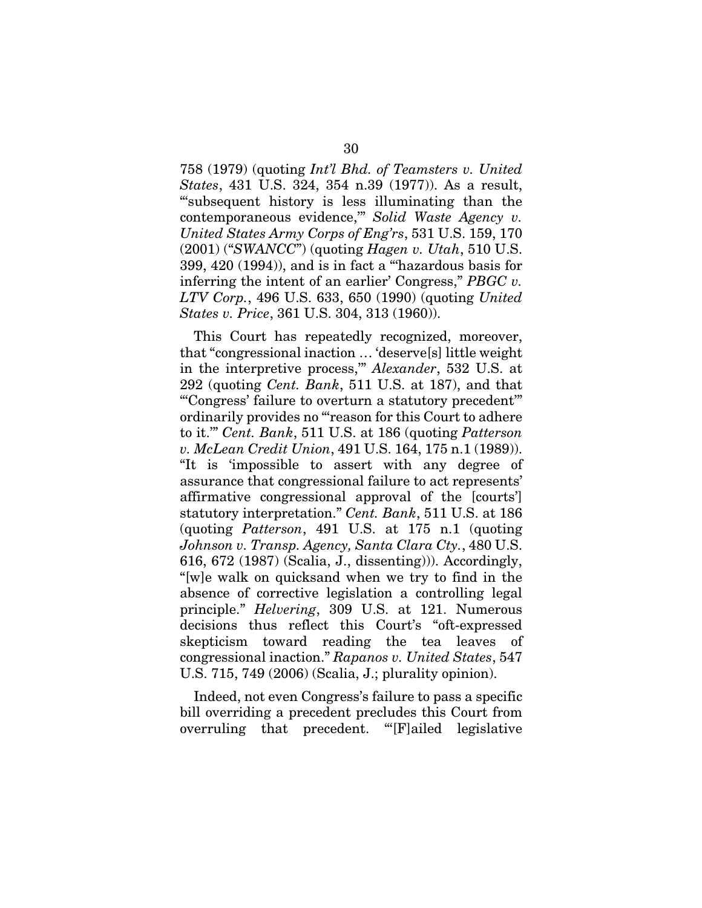758 (1979) (quoting *Int'l Bhd. of Teamsters v. United States*, 431 U.S. 324, 354 n.39 (1977)). As a result, "'subsequent history is less illuminating than the contemporaneous evidence,'" *Solid Waste Agency v. United States Army Corps of Eng'rs*, 531 U.S. 159, 170 (2001) ("*SWANCC*") (quoting *Hagen v. Utah*, 510 U.S. 399, 420 (1994)), and is in fact a "'hazardous basis for inferring the intent of an earlier' Congress," *PBGC v. LTV Corp.*, 496 U.S. 633, 650 (1990) (quoting *United States v. Price*, 361 U.S. 304, 313 (1960)).

This Court has repeatedly recognized, moreover, that "congressional inaction … 'deserve[s] little weight in the interpretive process,'" *Alexander*, 532 U.S. at 292 (quoting *Cent. Bank*, 511 U.S. at 187), and that "'Congress' failure to overturn a statutory precedent'" ordinarily provides no "'reason for this Court to adhere to it.'" *Cent. Bank*, 511 U.S. at 186 (quoting *Patterson v. McLean Credit Union*, 491 U.S. 164, 175 n.1 (1989)). "It is 'impossible to assert with any degree of assurance that congressional failure to act represents' affirmative congressional approval of the [courts'] statutory interpretation." *Cent. Bank*, 511 U.S. at 186 (quoting *Patterson*, 491 U.S. at 175 n.1 (quoting *Johnson v. Transp. Agency, Santa Clara Cty.*, 480 U.S. 616, 672 (1987) (Scalia, J., dissenting))). Accordingly, "[w]e walk on quicksand when we try to find in the absence of corrective legislation a controlling legal principle." *Helvering*, 309 U.S. at 121. Numerous decisions thus reflect this Court's "oft-expressed skepticism toward reading the tea leaves of congressional inaction." *Rapanos v. United States*, 547 U.S. 715, 749 (2006) (Scalia, J.; plurality opinion).

Indeed, not even Congress's failure to pass a specific bill overriding a precedent precludes this Court from overruling that precedent. "'[F]ailed legislative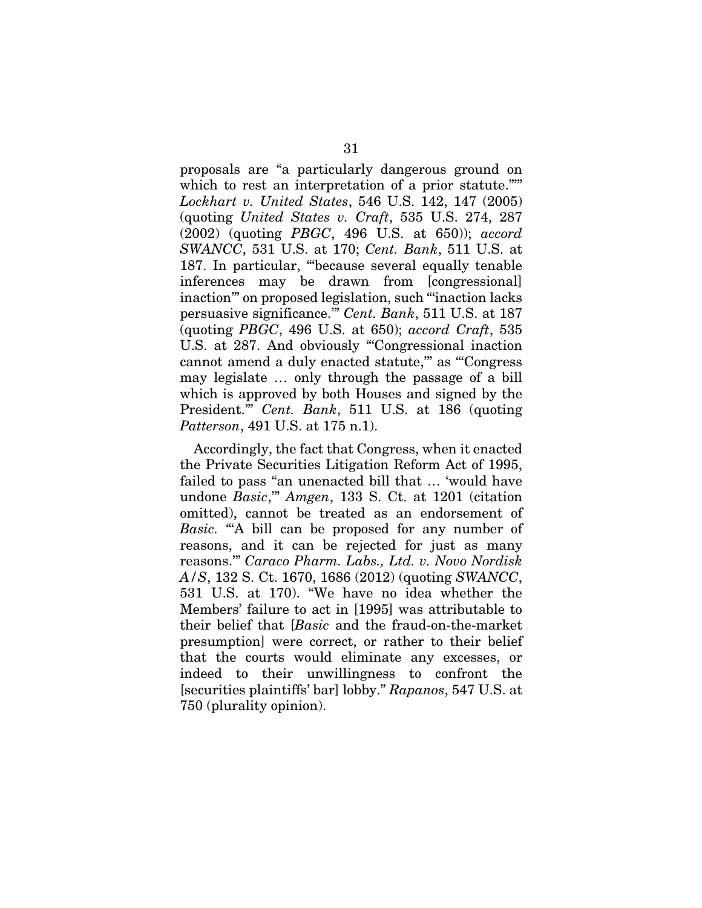proposals are "a particularly dangerous ground on which to rest an interpretation of a prior statute."" *Lockhart v. United States*, 546 U.S. 142, 147 (2005) (quoting *United States v. Craft*, 535 U.S. 274, 287 (2002) (quoting *PBGC*, 496 U.S. at 650)); *accord SWANCC*, 531 U.S. at 170; *Cent. Bank*, 511 U.S. at 187. In particular, "'because several equally tenable inferences may be drawn from [congressional] inaction'" on proposed legislation, such "'inaction lacks persuasive significance.'" *Cent. Bank*, 511 U.S. at 187 (quoting *PBGC*, 496 U.S. at 650); *accord Craft*, 535 U.S. at 287. And obviously "Congressional inaction cannot amend a duly enacted statute,'" as "'Congress may legislate … only through the passage of a bill which is approved by both Houses and signed by the President.'" *Cent. Bank*, 511 U.S. at 186 (quoting *Patterson*, 491 U.S. at 175 n.1).

Accordingly, the fact that Congress, when it enacted the Private Securities Litigation Reform Act of 1995, failed to pass "an unenacted bill that … 'would have undone *Basic*,'" *Amgen*, 133 S. Ct. at 1201 (citation omitted), cannot be treated as an endorsement of *Basic.* "A bill can be proposed for any number of reasons, and it can be rejected for just as many reasons.'" *Caraco Pharm. Labs., Ltd. v. Novo Nordisk A/S*, 132 S. Ct. 1670, 1686 (2012) (quoting *SWANCC*, 531 U.S. at 170). "We have no idea whether the Members' failure to act in [1995] was attributable to their belief that [*Basic* and the fraud-on-the-market presumption] were correct, or rather to their belief that the courts would eliminate any excesses, or indeed to their unwillingness to confront the [securities plaintiffs' bar] lobby." *Rapanos*, 547 U.S. at 750 (plurality opinion).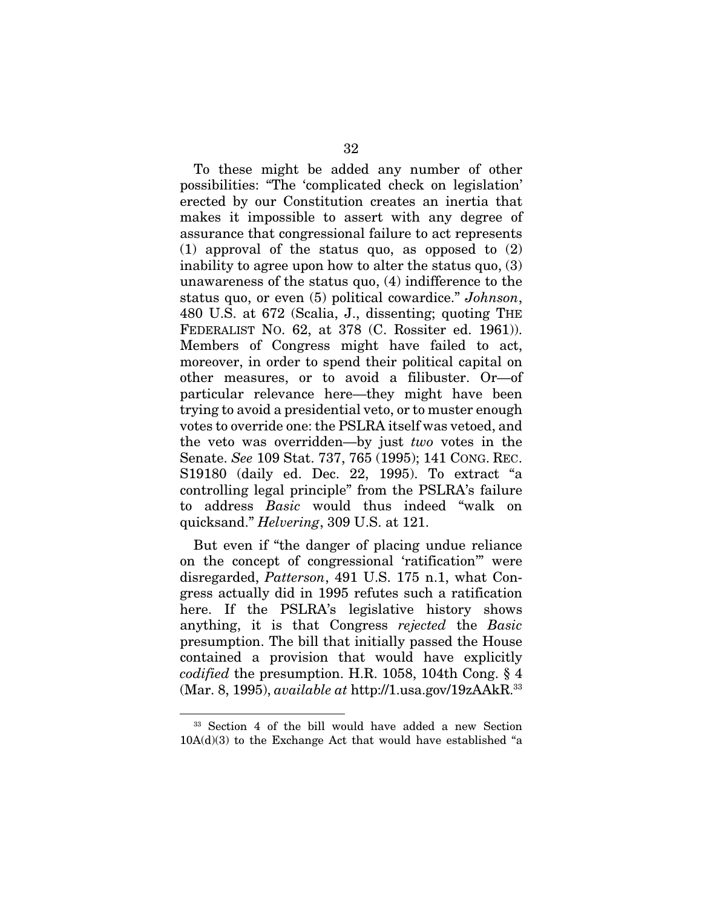To these might be added any number of other possibilities: "The 'complicated check on legislation' erected by our Constitution creates an inertia that makes it impossible to assert with any degree of assurance that congressional failure to act represents (1) approval of the status quo, as opposed to (2) inability to agree upon how to alter the status quo, (3) unawareness of the status quo, (4) indifference to the status quo, or even (5) political cowardice." *Johnson*, 480 U.S. at 672 (Scalia, J., dissenting; quoting THE FEDERALIST NO. 62, at 378 (C. Rossiter ed. 1961)). Members of Congress might have failed to act, moreover, in order to spend their political capital on other measures, or to avoid a filibuster. Or—of particular relevance here—they might have been trying to avoid a presidential veto, or to muster enough votes to override one: the PSLRA itself was vetoed, and the veto was overridden—by just *two* votes in the Senate. *See* 109 Stat. 737, 765 (1995); 141 CONG. REC. S19180 (daily ed. Dec. 22, 1995). To extract "a controlling legal principle" from the PSLRA's failure to address *Basic* would thus indeed "walk on quicksand." *Helvering*, 309 U.S. at 121.

But even if "the danger of placing undue reliance on the concept of congressional 'ratification'" were disregarded, *Patterson*, 491 U.S. 175 n.1, what Congress actually did in 1995 refutes such a ratification here. If the PSLRA's legislative history shows anything, it is that Congress *rejected* the *Basic* presumption. The bill that initially passed the House contained a provision that would have explicitly *codified* the presumption. H.R. 1058, 104th Cong. § 4 (Mar. 8, 1995), *available at* http://1.usa.gov/19zAAkR.33

1

<sup>33</sup> Section 4 of the bill would have added a new Section  $10A(d)(3)$  to the Exchange Act that would have established "a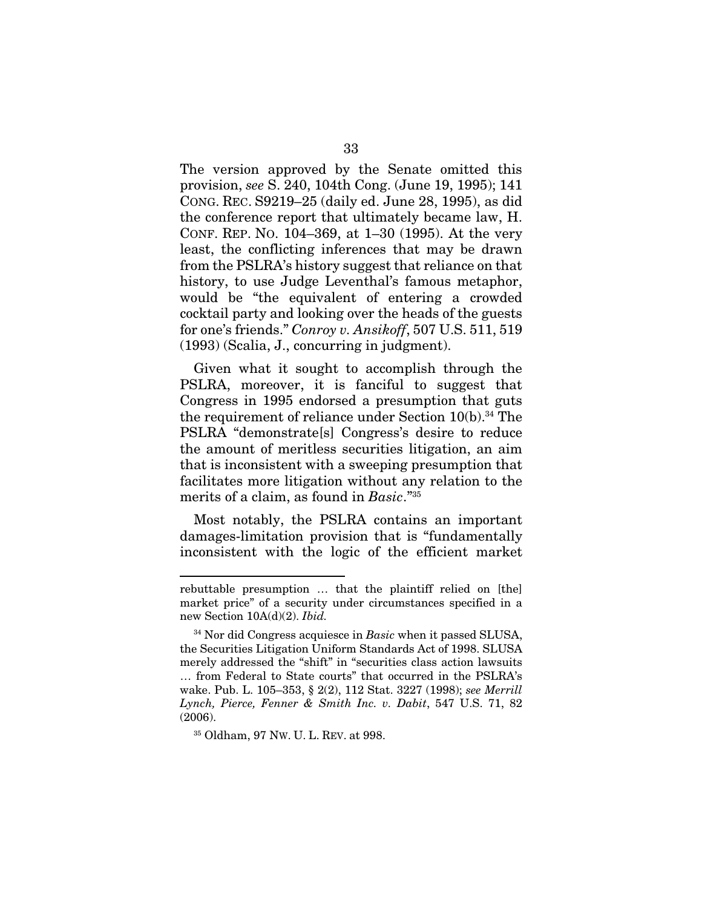The version approved by the Senate omitted this provision, *see* S. 240, 104th Cong. (June 19, 1995); 141 CONG. REC. S9219–25 (daily ed. June 28, 1995), as did the conference report that ultimately became law, H. CONF. REP. NO. 104–369, at 1–30 (1995). At the very least, the conflicting inferences that may be drawn from the PSLRA's history suggest that reliance on that history, to use Judge Leventhal's famous metaphor, would be "the equivalent of entering a crowded cocktail party and looking over the heads of the guests for one's friends." *Conroy v. Ansikoff*, 507 U.S. 511, 519 (1993) (Scalia, J., concurring in judgment).

Given what it sought to accomplish through the PSLRA, moreover, it is fanciful to suggest that Congress in 1995 endorsed a presumption that guts the requirement of reliance under Section 10(b).34 The PSLRA "demonstrate[s] Congress's desire to reduce the amount of meritless securities litigation, an aim that is inconsistent with a sweeping presumption that facilitates more litigation without any relation to the merits of a claim, as found in *Basic*."35

Most notably, the PSLRA contains an important damages-limitation provision that is "fundamentally inconsistent with the logic of the efficient market

1

rebuttable presumption … that the plaintiff relied on [the] market price" of a security under circumstances specified in a new Section 10A(d)(2). *Ibid.* 

<sup>34</sup> Nor did Congress acquiesce in *Basic* when it passed SLUSA, the Securities Litigation Uniform Standards Act of 1998. SLUSA merely addressed the "shift" in "securities class action lawsuits … from Federal to State courts" that occurred in the PSLRA's wake. Pub. L. 105–353, § 2(2), 112 Stat. 3227 (1998); *see Merrill Lynch, Pierce, Fenner & Smith Inc. v. Dabit*, 547 U.S. 71, 82 (2006).

<sup>35</sup> Oldham, 97 NW. U. L. REV. at 998.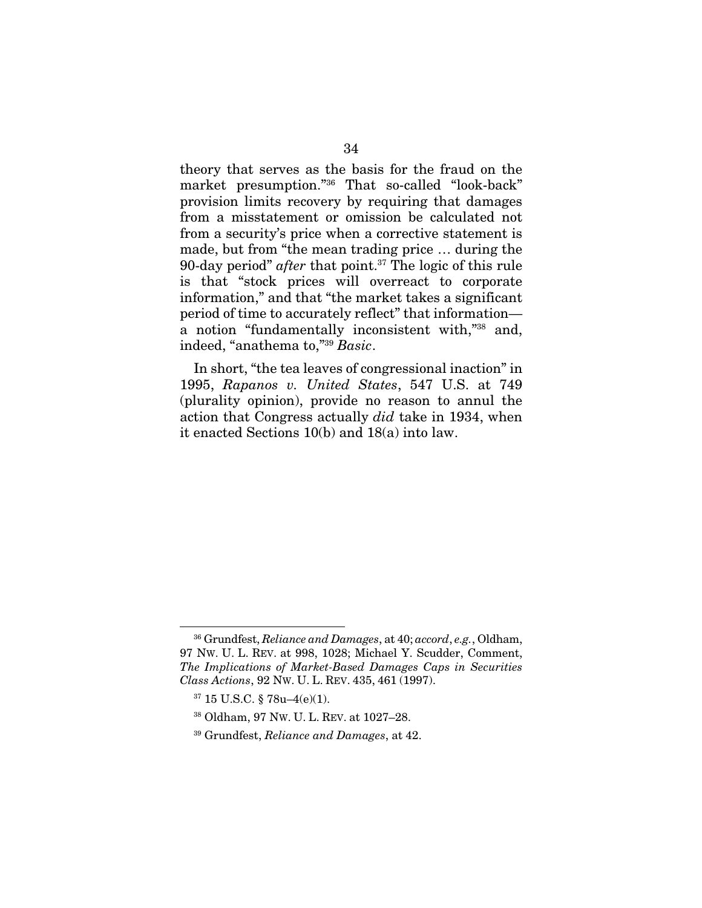theory that serves as the basis for the fraud on the market presumption."36 That so-called "look-back" provision limits recovery by requiring that damages from a misstatement or omission be calculated not from a security's price when a corrective statement is made, but from "the mean trading price … during the 90-day period" *after* that point.37 The logic of this rule is that "stock prices will overreact to corporate information," and that "the market takes a significant period of time to accurately reflect" that information a notion "fundamentally inconsistent with,"38 and, indeed, "anathema to,"39 *Basic*.

In short, "the tea leaves of congressional inaction" in 1995, *Rapanos v. United States*, 547 U.S. at 749 (plurality opinion), provide no reason to annul the action that Congress actually *did* take in 1934, when it enacted Sections 10(b) and 18(a) into law.

<sup>36</sup> Grundfest, *Reliance and Damages*, at 40; *accord*, *e.g.*, Oldham, 97 NW. U. L. REV. at 998, 1028; Michael Y. Scudder, Comment, *The Implications of Market-Based Damages Caps in Securities Class Actions*, 92 NW. U. L. REV. 435, 461 (1997).

<sup>37 15</sup> U.S.C. § 78u–4(e)(1).

<sup>38</sup> Oldham, 97 NW. U. L. REV. at 1027–28.

<sup>39</sup> Grundfest, *Reliance and Damages*, at 42.